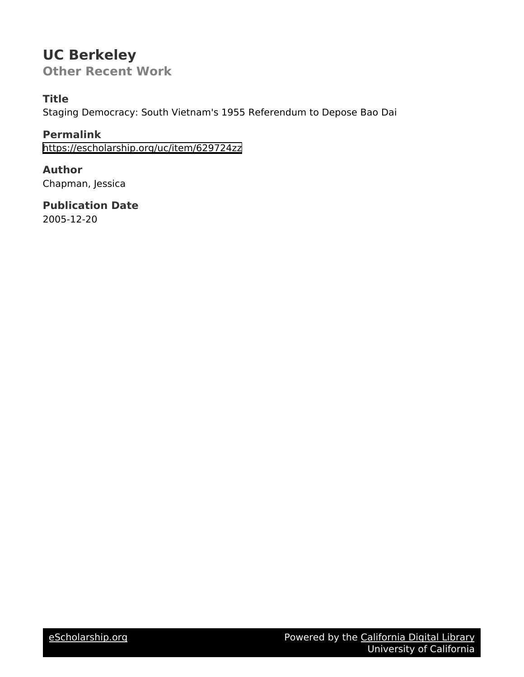# **UC Berkeley Other Recent Work**

**Title**

Staging Democracy: South Vietnam's 1955 Referendum to Depose Bao Dai

**Permalink** <https://escholarship.org/uc/item/629724zz>

**Author** Chapman, Jessica

**Publication Date** 2005-12-20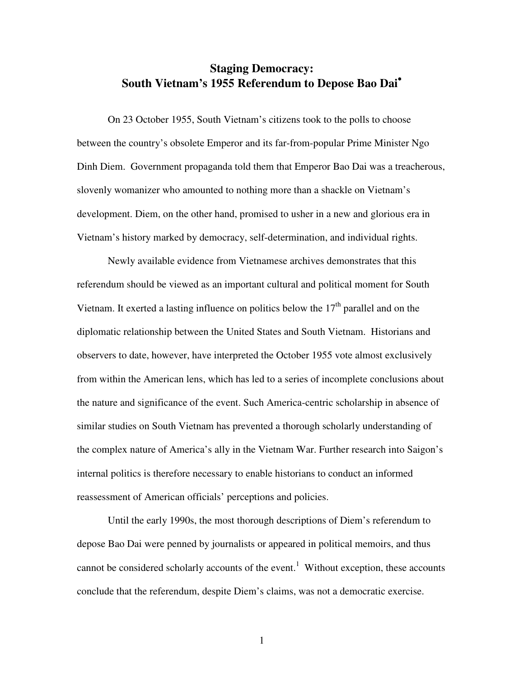## **Staging Democracy: South Vietnam's 1955 Referendum to Depose Bao Dai**

On 23 October 1955, South Vietnam's citizens took to the polls to choose between the country's obsolete Emperor and its far-from-popular Prime Minister Ngo Dinh Diem. Government propaganda told them that Emperor Bao Dai was a treacherous, slovenly womanizer who amounted to nothing more than a shackle on Vietnam's development. Diem, on the other hand, promised to usher in a new and glorious era in Vietnam's history marked by democracy, self-determination, and individual rights.

Newly available evidence from Vietnamese archives demonstrates that this referendum should be viewed as an important cultural and political moment for South Vietnam. It exerted a lasting influence on politics below the  $17<sup>th</sup>$  parallel and on the diplomatic relationship between the United States and South Vietnam. Historians and observers to date, however, have interpreted the October 1955 vote almost exclusively from within the American lens, which has led to a series of incomplete conclusions about the nature and significance of the event. Such America-centric scholarship in absence of similar studies on South Vietnam has prevented a thorough scholarly understanding of the complex nature of America's ally in the Vietnam War. Further research into Saigon's internal politics is therefore necessary to enable historians to conduct an informed reassessment of American officials' perceptions and policies.

Until the early 1990s, the most thorough descriptions of Diem's referendum to depose Bao Dai were penned by journalists or appeared in political memoirs, and thus cannot be considered scholarly accounts of the event.<sup>1</sup> Without exception, these accounts conclude that the referendum, despite Diem's claims, was not a democratic exercise.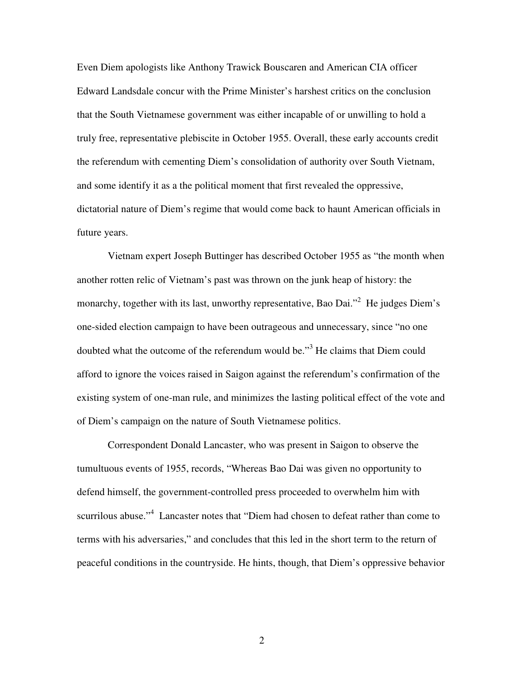Even Diem apologists like Anthony Trawick Bouscaren and American CIA officer Edward Landsdale concur with the Prime Minister's harshest critics on the conclusion that the South Vietnamese government was either incapable of or unwilling to hold a truly free, representative plebiscite in October 1955. Overall, these early accounts credit the referendum with cementing Diem's consolidation of authority over South Vietnam, and some identify it as a the political moment that first revealed the oppressive, dictatorial nature of Diem's regime that would come back to haunt American officials in future years.

Vietnam expert Joseph Buttinger has described October 1955 as "the month when another rotten relic of Vietnam's past was thrown on the junk heap of history: the monarchy, together with its last, unworthy representative, Bao Dai."<sup>2</sup> He judges Diem's one-sided election campaign to have been outrageous and unnecessary, since "no one doubted what the outcome of the referendum would be."<sup>3</sup> He claims that Diem could afford to ignore the voices raised in Saigon against the referendum's confirmation of the existing system of one-man rule, and minimizes the lasting political effect of the vote and of Diem's campaign on the nature of South Vietnamese politics.

Correspondent Donald Lancaster, who was present in Saigon to observe the tumultuous events of 1955, records, "Whereas Bao Dai was given no opportunity to defend himself, the government-controlled press proceeded to overwhelm him with scurrilous abuse."<sup>4</sup> Lancaster notes that "Diem had chosen to defeat rather than come to terms with his adversaries," and concludes that this led in the short term to the return of peaceful conditions in the countryside. He hints, though, that Diem's oppressive behavior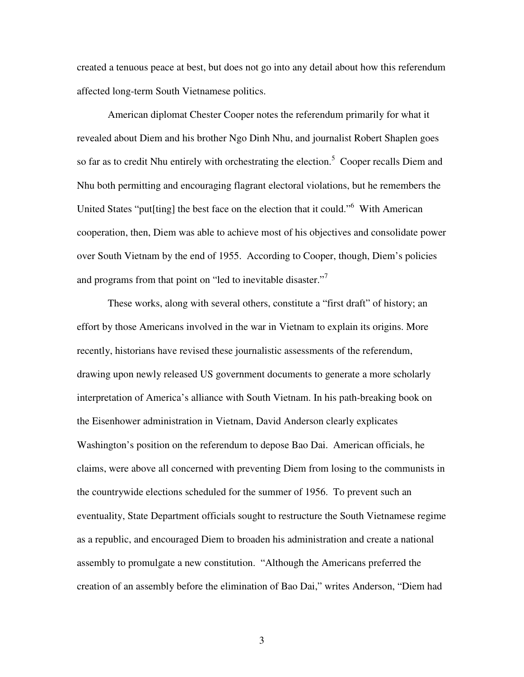created a tenuous peace at best, but does not go into any detail about how this referendum affected long-term South Vietnamese politics.

American diplomat Chester Cooper notes the referendum primarily for what it revealed about Diem and his brother Ngo Dinh Nhu, and journalist Robert Shaplen goes so far as to credit Nhu entirely with orchestrating the election.<sup>5</sup> Cooper recalls Diem and Nhu both permitting and encouraging flagrant electoral violations, but he remembers the United States "put[ting] the best face on the election that it could."<sup>6</sup> With American cooperation, then, Diem was able to achieve most of his objectives and consolidate power over South Vietnam by the end of 1955. According to Cooper, though, Diem's policies and programs from that point on "led to inevitable disaster."

These works, along with several others, constitute a "first draft" of history; an effort by those Americans involved in the war in Vietnam to explain its origins. More recently, historians have revised these journalistic assessments of the referendum, drawing upon newly released US government documents to generate a more scholarly interpretation of America's alliance with South Vietnam. In his path-breaking book on the Eisenhower administration in Vietnam, David Anderson clearly explicates Washington's position on the referendum to depose Bao Dai. American officials, he claims, were above all concerned with preventing Diem from losing to the communists in the countrywide elections scheduled for the summer of 1956. To prevent such an eventuality, State Department officials sought to restructure the South Vietnamese regime as a republic, and encouraged Diem to broaden his administration and create a national assembly to promulgate a new constitution. "Although the Americans preferred the creation of an assembly before the elimination of Bao Dai," writes Anderson, "Diem had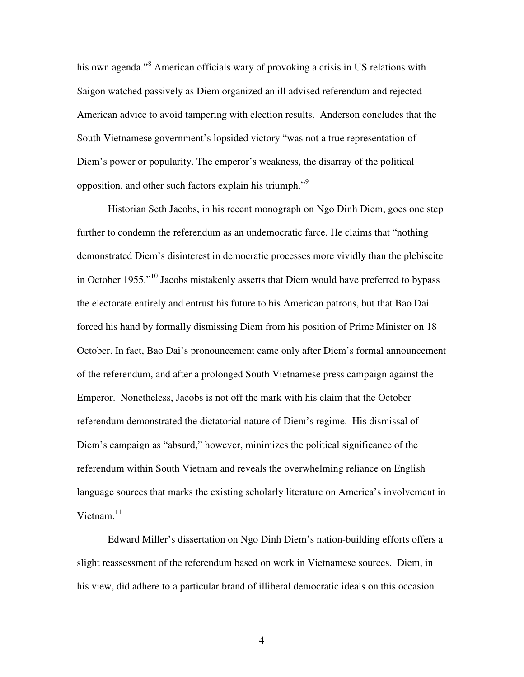his own agenda."<sup>8</sup> American officials wary of provoking a crisis in US relations with Saigon watched passively as Diem organized an ill advised referendum and rejected American advice to avoid tampering with election results. Anderson concludes that the South Vietnamese government's lopsided victory "was not a true representation of Diem's power or popularity. The emperor's weakness, the disarray of the political opposition, and other such factors explain his triumph."9

Historian Seth Jacobs, in his recent monograph on Ngo Dinh Diem, goes one step further to condemn the referendum as an undemocratic farce. He claims that "nothing demonstrated Diem's disinterest in democratic processes more vividly than the plebiscite in October 1955."10 Jacobs mistakenly asserts that Diem would have preferred to bypass the electorate entirely and entrust his future to his American patrons, but that Bao Dai forced his hand by formally dismissing Diem from his position of Prime Minister on 18 October. In fact, Bao Dai's pronouncement came only after Diem's formal announcement of the referendum, and after a prolonged South Vietnamese press campaign against the Emperor. Nonetheless, Jacobs is not off the mark with his claim that the October referendum demonstrated the dictatorial nature of Diem's regime. His dismissal of Diem's campaign as "absurd," however, minimizes the political significance of the referendum within South Vietnam and reveals the overwhelming reliance on English language sources that marks the existing scholarly literature on America's involvement in Vietnam.<sup>11</sup>

Edward Miller's dissertation on Ngo Dinh Diem's nation-building efforts offers a slight reassessment of the referendum based on work in Vietnamese sources. Diem, in his view, did adhere to a particular brand of illiberal democratic ideals on this occasion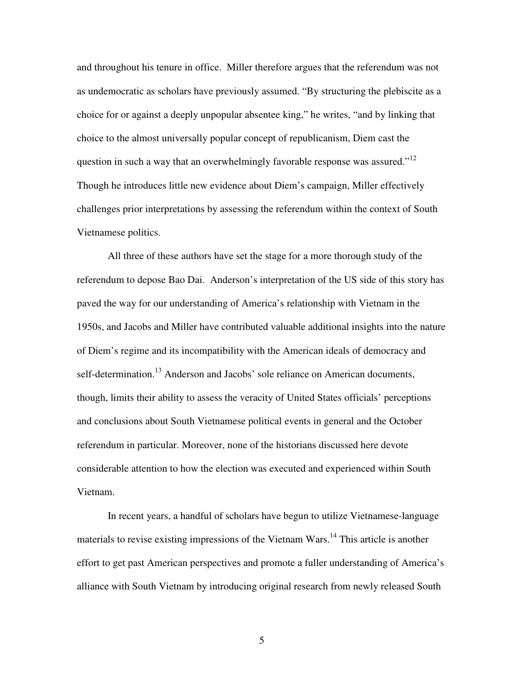and throughout his tenure in office. Miller therefore argues that the referendum was not as undemocratic as scholars have previously assumed. "By structuring the plebiscite as a choice for or against a deeply unpopular absentee king," he writes, "and by linking that choice to the almost universally popular concept of republicanism, Diem cast the question in such a way that an overwhelmingly favorable response was assured."<sup>12</sup> Though he introduces little new evidence about Diem's campaign, Miller effectively challenges prior interpretations by assessing the referendum within the context of South Vietnamese politics.

All three of these authors have set the stage for a more thorough study of the referendum to depose Bao Dai. Anderson's interpretation of the US side of this story has paved the way for our understanding of America's relationship with Vietnam in the 1950s, and Jacobs and Miller have contributed valuable additional insights into the nature of Diem's regime and its incompatibility with the American ideals of democracy and self-determination.<sup>13</sup> Anderson and Jacobs' sole reliance on American documents, though, limits their ability to assess the veracity of United States officials' perceptions and conclusions about South Vietnamese political events in general and the October referendum in particular. Moreover, none of the historians discussed here devote considerable attention to how the election was executed and experienced within South Vietnam.

In recent years, a handful of scholars have begun to utilize Vietnamese-language materials to revise existing impressions of the Vietnam Wars.<sup>14</sup> This article is another effort to get past American perspectives and promote a fuller understanding of America's alliance with South Vietnam by introducing original research from newly released South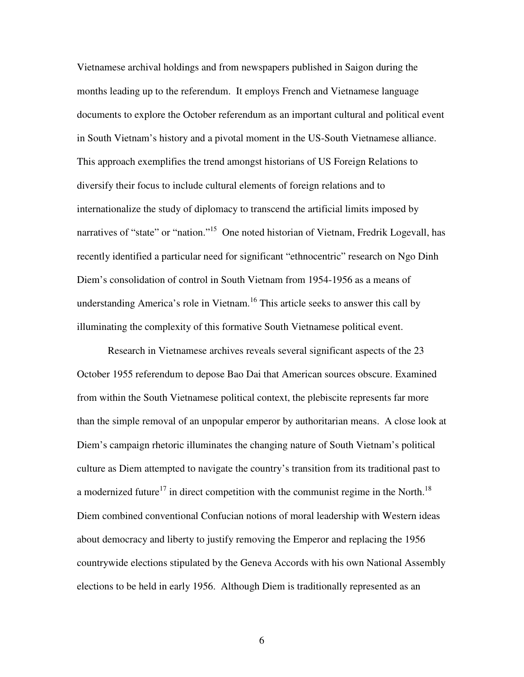Vietnamese archival holdings and from newspapers published in Saigon during the months leading up to the referendum. It employs French and Vietnamese language documents to explore the October referendum as an important cultural and political event in South Vietnam's history and a pivotal moment in the US-South Vietnamese alliance. This approach exemplifies the trend amongst historians of US Foreign Relations to diversify their focus to include cultural elements of foreign relations and to internationalize the study of diplomacy to transcend the artificial limits imposed by narratives of "state" or "nation."<sup>15</sup> One noted historian of Vietnam, Fredrik Logevall, has recently identified a particular need for significant "ethnocentric" research on Ngo Dinh Diem's consolidation of control in South Vietnam from 1954-1956 as a means of understanding America's role in Vietnam.<sup>16</sup> This article seeks to answer this call by illuminating the complexity of this formative South Vietnamese political event.

Research in Vietnamese archives reveals several significant aspects of the 23 October 1955 referendum to depose Bao Dai that American sources obscure. Examined from within the South Vietnamese political context, the plebiscite represents far more than the simple removal of an unpopular emperor by authoritarian means. A close look at Diem's campaign rhetoric illuminates the changing nature of South Vietnam's political culture as Diem attempted to navigate the country's transition from its traditional past to a modernized future<sup>17</sup> in direct competition with the communist regime in the North.<sup>18</sup> Diem combined conventional Confucian notions of moral leadership with Western ideas about democracy and liberty to justify removing the Emperor and replacing the 1956 countrywide elections stipulated by the Geneva Accords with his own National Assembly elections to be held in early 1956. Although Diem is traditionally represented as an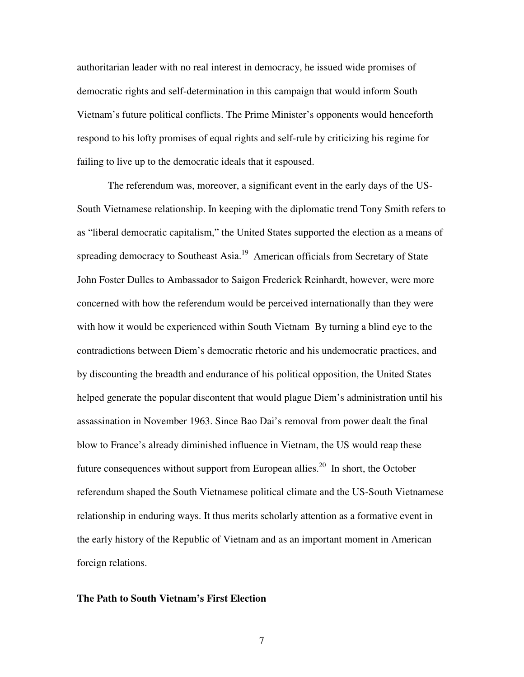authoritarian leader with no real interest in democracy, he issued wide promises of democratic rights and self-determination in this campaign that would inform South Vietnam's future political conflicts. The Prime Minister's opponents would henceforth respond to his lofty promises of equal rights and self-rule by criticizing his regime for failing to live up to the democratic ideals that it espoused.

The referendum was, moreover, a significant event in the early days of the US-South Vietnamese relationship. In keeping with the diplomatic trend Tony Smith refers to as "liberal democratic capitalism," the United States supported the election as a means of spreading democracy to Southeast Asia.<sup>19</sup> American officials from Secretary of State John Foster Dulles to Ambassador to Saigon Frederick Reinhardt, however, were more concerned with how the referendum would be perceived internationally than they were with how it would be experienced within South Vietnam By turning a blind eye to the contradictions between Diem's democratic rhetoric and his undemocratic practices, and by discounting the breadth and endurance of his political opposition, the United States helped generate the popular discontent that would plague Diem's administration until his assassination in November 1963. Since Bao Dai's removal from power dealt the final blow to France's already diminished influence in Vietnam, the US would reap these future consequences without support from European allies.<sup>20</sup> In short, the October referendum shaped the South Vietnamese political climate and the US-South Vietnamese relationship in enduring ways. It thus merits scholarly attention as a formative event in the early history of the Republic of Vietnam and as an important moment in American foreign relations.

#### **The Path to South Vietnam's First Election**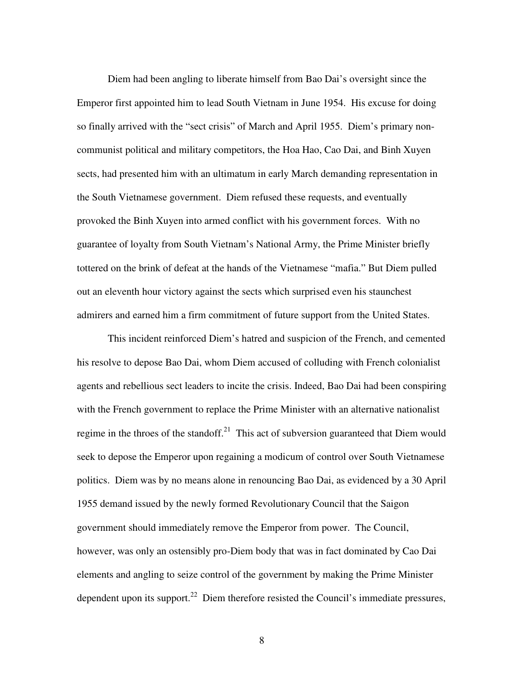Diem had been angling to liberate himself from Bao Dai's oversight since the Emperor first appointed him to lead South Vietnam in June 1954. His excuse for doing so finally arrived with the "sect crisis" of March and April 1955. Diem's primary noncommunist political and military competitors, the Hoa Hao, Cao Dai, and Binh Xuyen sects, had presented him with an ultimatum in early March demanding representation in the South Vietnamese government. Diem refused these requests, and eventually provoked the Binh Xuyen into armed conflict with his government forces. With no guarantee of loyalty from South Vietnam's National Army, the Prime Minister briefly tottered on the brink of defeat at the hands of the Vietnamese "mafia." But Diem pulled out an eleventh hour victory against the sects which surprised even his staunchest admirers and earned him a firm commitment of future support from the United States.

This incident reinforced Diem's hatred and suspicion of the French, and cemented his resolve to depose Bao Dai, whom Diem accused of colluding with French colonialist agents and rebellious sect leaders to incite the crisis. Indeed, Bao Dai had been conspiring with the French government to replace the Prime Minister with an alternative nationalist regime in the throes of the standoff.<sup>21</sup> This act of subversion guaranteed that Diem would seek to depose the Emperor upon regaining a modicum of control over South Vietnamese politics. Diem was by no means alone in renouncing Bao Dai, as evidenced by a 30 April 1955 demand issued by the newly formed Revolutionary Council that the Saigon government should immediately remove the Emperor from power. The Council, however, was only an ostensibly pro-Diem body that was in fact dominated by Cao Dai elements and angling to seize control of the government by making the Prime Minister dependent upon its support.<sup>22</sup> Diem therefore resisted the Council's immediate pressures,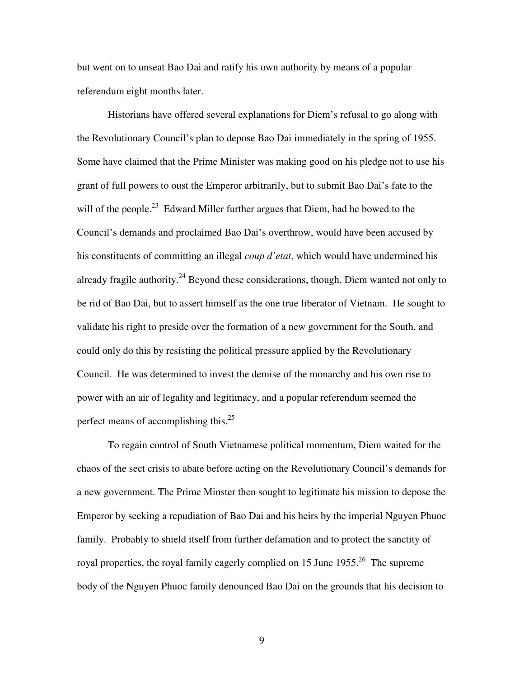but went on to unseat Bao Dai and ratify his own authority by means of a popular referendum eight months later.

Historians have offered several explanations for Diem's refusal to go along with the Revolutionary Council's plan to depose Bao Dai immediately in the spring of 1955. Some have claimed that the Prime Minister was making good on his pledge not to use his grant of full powers to oust the Emperor arbitrarily, but to submit Bao Dai's fate to the will of the people.<sup>23</sup> Edward Miller further argues that Diem, had he bowed to the Council's demands and proclaimed Bao Dai's overthrow, would have been accused by his constituents of committing an illegal *coup d'etat*, which would have undermined his already fragile authority.<sup>24</sup> Beyond these considerations, though, Diem wanted not only to be rid of Bao Dai, but to assert himself as the one true liberator of Vietnam. He sought to validate his right to preside over the formation of a new government for the South, and could only do this by resisting the political pressure applied by the Revolutionary Council. He was determined to invest the demise of the monarchy and his own rise to power with an air of legality and legitimacy, and a popular referendum seemed the perfect means of accomplishing this. $^{25}$ 

To regain control of South Vietnamese political momentum, Diem waited for the chaos of the sect crisis to abate before acting on the Revolutionary Council's demands for a new government. The Prime Minster then sought to legitimate his mission to depose the Emperor by seeking a repudiation of Bao Dai and his heirs by the imperial Nguyen Phuoc family. Probably to shield itself from further defamation and to protect the sanctity of royal properties, the royal family eagerly complied on 15 June 1955.<sup>26</sup> The supreme body of the Nguyen Phuoc family denounced Bao Dai on the grounds that his decision to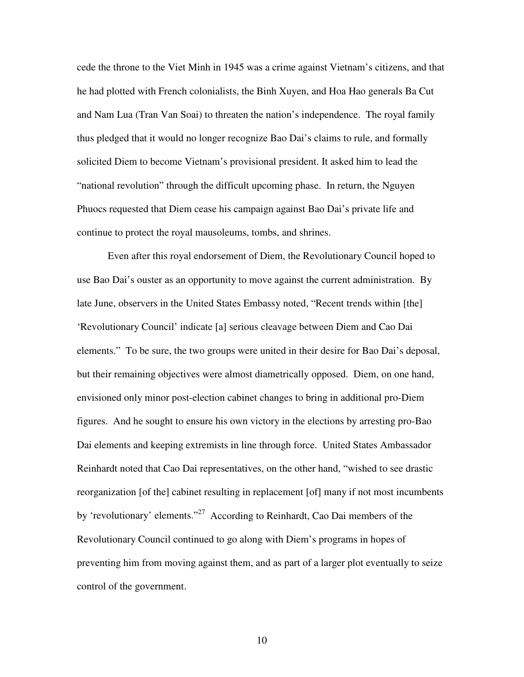cede the throne to the Viet Minh in 1945 was a crime against Vietnam's citizens, and that he had plotted with French colonialists, the Binh Xuyen, and Hoa Hao generals Ba Cut and Nam Lua (Tran Van Soai) to threaten the nation's independence. The royal family thus pledged that it would no longer recognize Bao Dai's claims to rule, and formally solicited Diem to become Vietnam's provisional president. It asked him to lead the "national revolution" through the difficult upcoming phase. In return, the Nguyen Phuocs requested that Diem cease his campaign against Bao Dai's private life and continue to protect the royal mausoleums, tombs, and shrines.

Even after this royal endorsement of Diem, the Revolutionary Council hoped to use Bao Dai's ouster as an opportunity to move against the current administration. By late June, observers in the United States Embassy noted, "Recent trends within [the] 'Revolutionary Council' indicate [a] serious cleavage between Diem and Cao Dai elements." To be sure, the two groups were united in their desire for Bao Dai's deposal, but their remaining objectives were almost diametrically opposed. Diem, on one hand, envisioned only minor post-election cabinet changes to bring in additional pro-Diem figures. And he sought to ensure his own victory in the elections by arresting pro-Bao Dai elements and keeping extremists in line through force. United States Ambassador Reinhardt noted that Cao Dai representatives, on the other hand, "wished to see drastic reorganization [of the] cabinet resulting in replacement [of] many if not most incumbents by 'revolutionary' elements."27 According to Reinhardt, Cao Dai members of the Revolutionary Council continued to go along with Diem's programs in hopes of preventing him from moving against them, and as part of a larger plot eventually to seize control of the government.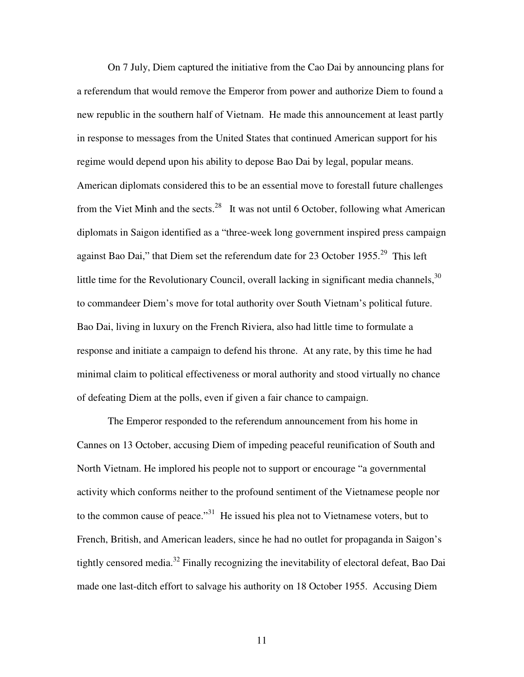On 7 July, Diem captured the initiative from the Cao Dai by announcing plans for a referendum that would remove the Emperor from power and authorize Diem to found a new republic in the southern half of Vietnam. He made this announcement at least partly in response to messages from the United States that continued American support for his regime would depend upon his ability to depose Bao Dai by legal, popular means. American diplomats considered this to be an essential move to forestall future challenges from the Viet Minh and the sects.<sup>28</sup> It was not until 6 October, following what American diplomats in Saigon identified as a "three-week long government inspired press campaign against Bao Dai," that Diem set the referendum date for 23 October 1955.<sup>29</sup> This left little time for the Revolutionary Council, overall lacking in significant media channels,  $30$ to commandeer Diem's move for total authority over South Vietnam's political future. Bao Dai, living in luxury on the French Riviera, also had little time to formulate a response and initiate a campaign to defend his throne. At any rate, by this time he had minimal claim to political effectiveness or moral authority and stood virtually no chance of defeating Diem at the polls, even if given a fair chance to campaign.

The Emperor responded to the referendum announcement from his home in Cannes on 13 October, accusing Diem of impeding peaceful reunification of South and North Vietnam. He implored his people not to support or encourage "a governmental activity which conforms neither to the profound sentiment of the Vietnamese people nor to the common cause of peace.<sup>"31</sup> He issued his plea not to Vietnamese voters, but to French, British, and American leaders, since he had no outlet for propaganda in Saigon's tightly censored media.<sup>32</sup> Finally recognizing the inevitability of electoral defeat, Bao Dai made one last-ditch effort to salvage his authority on 18 October 1955. Accusing Diem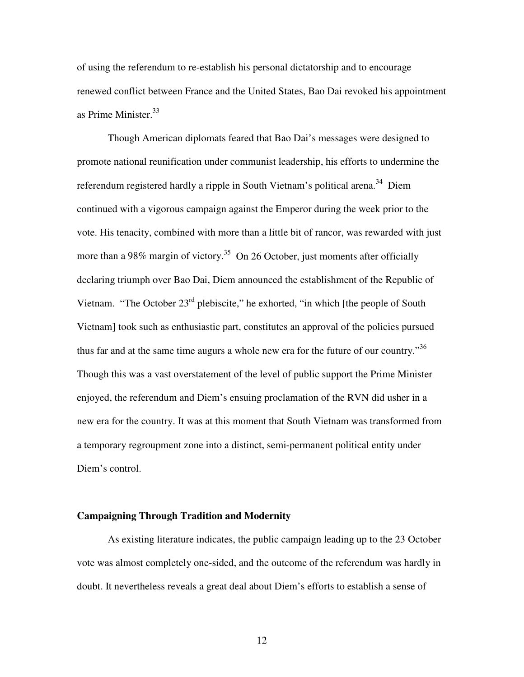of using the referendum to re-establish his personal dictatorship and to encourage renewed conflict between France and the United States, Bao Dai revoked his appointment as Prime Minister.<sup>33</sup>

Though American diplomats feared that Bao Dai's messages were designed to promote national reunification under communist leadership, his efforts to undermine the referendum registered hardly a ripple in South Vietnam's political arena.<sup>34</sup> Diem continued with a vigorous campaign against the Emperor during the week prior to the vote. His tenacity, combined with more than a little bit of rancor, was rewarded with just more than a 98% margin of victory.<sup>35</sup> On 26 October, just moments after officially declaring triumph over Bao Dai, Diem announced the establishment of the Republic of Vietnam. "The October 23<sup>rd</sup> plebiscite," he exhorted, "in which [the people of South Vietnam] took such as enthusiastic part, constitutes an approval of the policies pursued thus far and at the same time augurs a whole new era for the future of our country."<sup>36</sup> Though this was a vast overstatement of the level of public support the Prime Minister enjoyed, the referendum and Diem's ensuing proclamation of the RVN did usher in a new era for the country. It was at this moment that South Vietnam was transformed from a temporary regroupment zone into a distinct, semi-permanent political entity under Diem's control.

#### **Campaigning Through Tradition and Modernity**

As existing literature indicates, the public campaign leading up to the 23 October vote was almost completely one-sided, and the outcome of the referendum was hardly in doubt. It nevertheless reveals a great deal about Diem's efforts to establish a sense of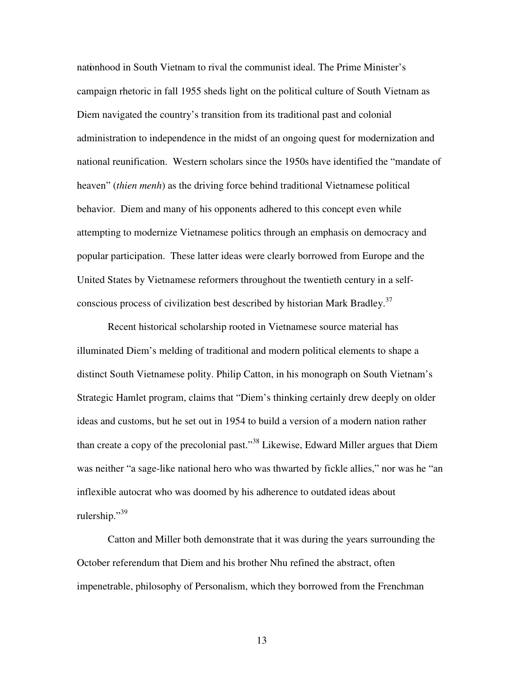nationhood in South Vietnam to rival the communist ideal. The Prime Minister's campaign rhetoric in fall 1955 sheds light on the political culture of South Vietnam as Diem navigated the country's transition from its traditional past and colonial administration to independence in the midst of an ongoing quest for modernization and national reunification. Western scholars since the 1950s have identified the "mandate of heaven" (*thien menh*) as the driving force behind traditional Vietnamese political behavior. Diem and many of his opponents adhered to this concept even while attempting to modernize Vietnamese politics through an emphasis on democracy and popular participation. These latter ideas were clearly borrowed from Europe and the United States by Vietnamese reformers throughout the twentieth century in a selfconscious process of civilization best described by historian Mark Bradley.<sup>37</sup>

Recent historical scholarship rooted in Vietnamese source material has illuminated Diem's melding of traditional and modern political elements to shape a distinct South Vietnamese polity. Philip Catton, in his monograph on South Vietnam's Strategic Hamlet program, claims that "Diem's thinking certainly drew deeply on older ideas and customs, but he set out in 1954 to build a version of a modern nation rather than create a copy of the precolonial past."38 Likewise, Edward Miller argues that Diem was neither "a sage-like national hero who was thwarted by fickle allies," nor was he "an inflexible autocrat who was doomed by his adherence to outdated ideas about rulership."<sup>39</sup>

Catton and Miller both demonstrate that it was during the years surrounding the October referendum that Diem and his brother Nhu refined the abstract, often impenetrable, philosophy of Personalism, which they borrowed from the Frenchman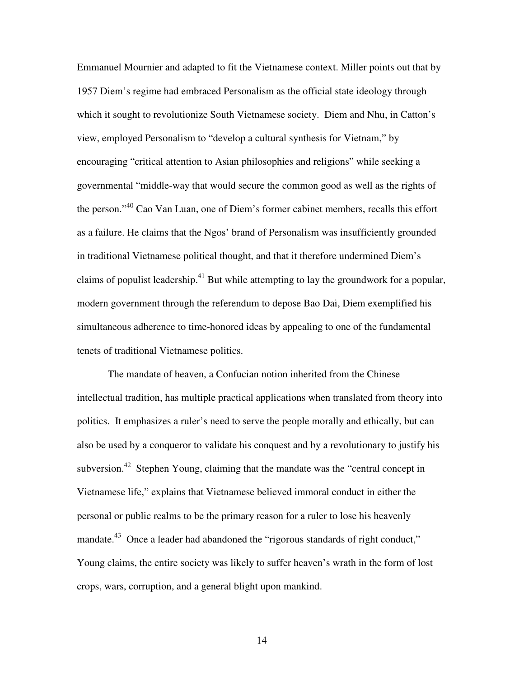Emmanuel Mournier and adapted to fit the Vietnamese context. Miller points out that by 1957 Diem's regime had embraced Personalism as the official state ideology through which it sought to revolutionize South Vietnamese society. Diem and Nhu, in Catton's view, employed Personalism to "develop a cultural synthesis for Vietnam," by encouraging "critical attention to Asian philosophies and religions" while seeking a governmental "middle-way that would secure the common good as well as the rights of the person."40 Cao Van Luan, one of Diem's former cabinet members, recalls this effort as a failure. He claims that the Ngos' brand of Personalism was insufficiently grounded in traditional Vietnamese political thought, and that it therefore undermined Diem's claims of populist leadership.<sup>41</sup> But while attempting to lay the groundwork for a popular, modern government through the referendum to depose Bao Dai, Diem exemplified his simultaneous adherence to time-honored ideas by appealing to one of the fundamental tenets of traditional Vietnamese politics.

The mandate of heaven, a Confucian notion inherited from the Chinese intellectual tradition, has multiple practical applications when translated from theory into politics. It emphasizes a ruler's need to serve the people morally and ethically, but can also be used by a conqueror to validate his conquest and by a revolutionary to justify his subversion.<sup>42</sup> Stephen Young, claiming that the mandate was the "central concept in Vietnamese life," explains that Vietnamese believed immoral conduct in either the personal or public realms to be the primary reason for a ruler to lose his heavenly mandate.<sup>43</sup> Once a leader had abandoned the "rigorous standards of right conduct," Young claims, the entire society was likely to suffer heaven's wrath in the form of lost crops, wars, corruption, and a general blight upon mankind.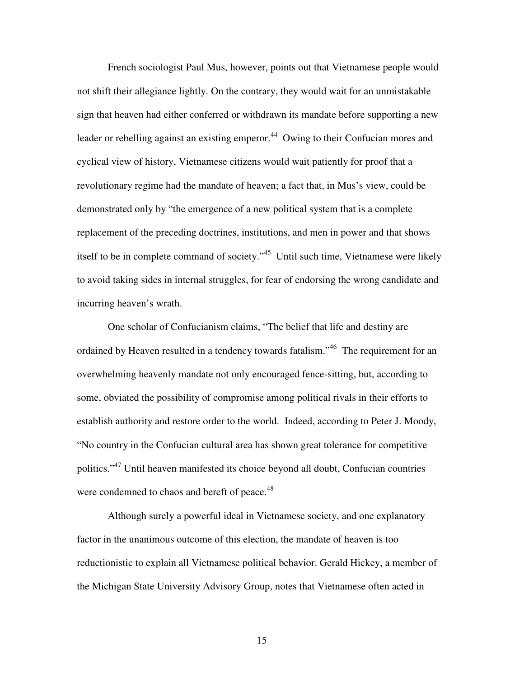French sociologist Paul Mus, however, points out that Vietnamese people would not shift their allegiance lightly. On the contrary, they would wait for an unmistakable sign that heaven had either conferred or withdrawn its mandate before supporting a new leader or rebelling against an existing emperor.<sup>44</sup> Owing to their Confucian mores and cyclical view of history, Vietnamese citizens would wait patiently for proof that a revolutionary regime had the mandate of heaven; a fact that, in Mus's view, could be demonstrated only by "the emergence of a new political system that is a complete replacement of the preceding doctrines, institutions, and men in power and that shows itself to be in complete command of society."45 Until such time, Vietnamese were likely to avoid taking sides in internal struggles, for fear of endorsing the wrong candidate and incurring heaven's wrath.

One scholar of Confucianism claims, "The belief that life and destiny are ordained by Heaven resulted in a tendency towards fatalism."<sup>46</sup> The requirement for an overwhelming heavenly mandate not only encouraged fence-sitting, but, according to some, obviated the possibility of compromise among political rivals in their efforts to establish authority and restore order to the world. Indeed, according to Peter J. Moody, "No country in the Confucian cultural area has shown great tolerance for competitive politics."<sup>47</sup> Until heaven manifested its choice beyond all doubt, Confucian countries were condemned to chaos and bereft of peace.<sup>48</sup>

Although surely a powerful ideal in Vietnamese society, and one explanatory factor in the unanimous outcome of this election, the mandate of heaven is too reductionistic to explain all Vietnamese political behavior. Gerald Hickey, a member of the Michigan State University Advisory Group, notes that Vietnamese often acted in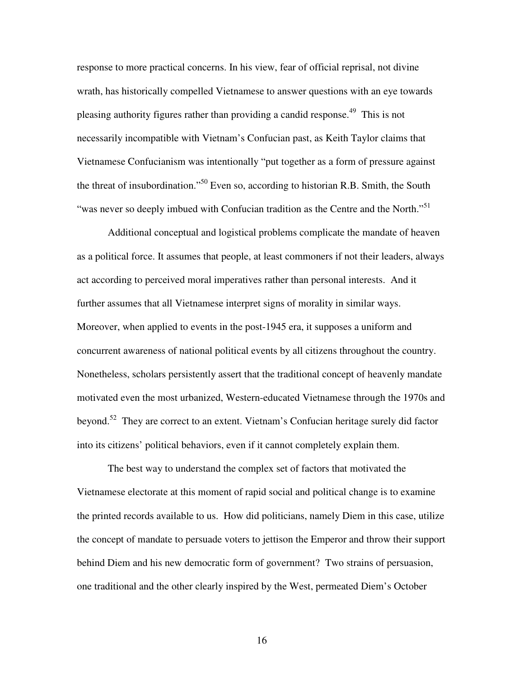response to more practical concerns. In his view, fear of official reprisal, not divine wrath, has historically compelled Vietnamese to answer questions with an eye towards pleasing authority figures rather than providing a candid response.<sup>49</sup> This is not necessarily incompatible with Vietnam's Confucian past, as Keith Taylor claims that Vietnamese Confucianism was intentionally "put together as a form of pressure against the threat of insubordination."<sup>50</sup> Even so, according to historian R.B. Smith, the South "was never so deeply imbued with Confucian tradition as the Centre and the North."<sup>51</sup>

Additional conceptual and logistical problems complicate the mandate of heaven as a political force. It assumes that people, at least commoners if not their leaders, always act according to perceived moral imperatives rather than personal interests. And it further assumes that all Vietnamese interpret signs of morality in similar ways. Moreover, when applied to events in the post-1945 era, it supposes a uniform and concurrent awareness of national political events by all citizens throughout the country. Nonetheless, scholars persistently assert that the traditional concept of heavenly mandate motivated even the most urbanized, Western-educated Vietnamese through the 1970s and beyond.52 They are correct to an extent. Vietnam's Confucian heritage surely did factor into its citizens' political behaviors, even if it cannot completely explain them.

The best way to understand the complex set of factors that motivated the Vietnamese electorate at this moment of rapid social and political change is to examine the printed records available to us. How did politicians, namely Diem in this case, utilize the concept of mandate to persuade voters to jettison the Emperor and throw their support behind Diem and his new democratic form of government? Two strains of persuasion, one traditional and the other clearly inspired by the West, permeated Diem's October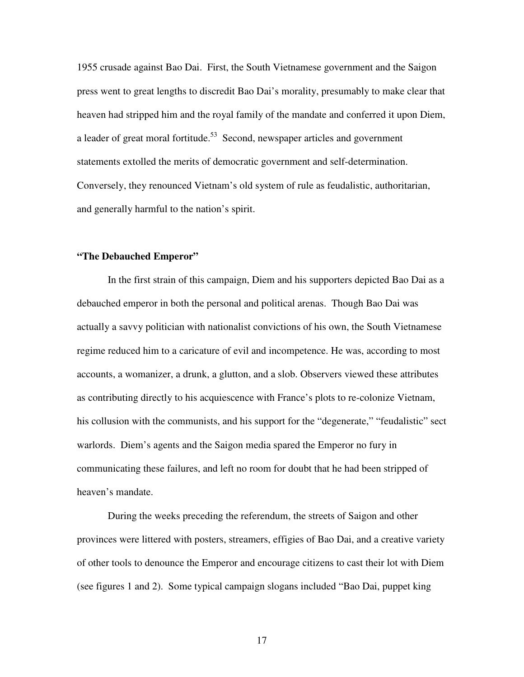1955 crusade against Bao Dai. First, the South Vietnamese government and the Saigon press went to great lengths to discredit Bao Dai's morality, presumably to make clear that heaven had stripped him and the royal family of the mandate and conferred it upon Diem, a leader of great moral fortitude.<sup>53</sup> Second, newspaper articles and government statements extolled the merits of democratic government and self-determination. Conversely, they renounced Vietnam's old system of rule as feudalistic, authoritarian, and generally harmful to the nation's spirit.

### **"The Debauched Emperor"**

In the first strain of this campaign, Diem and his supporters depicted Bao Dai as a debauched emperor in both the personal and political arenas. Though Bao Dai was actually a savvy politician with nationalist convictions of his own, the South Vietnamese regime reduced him to a caricature of evil and incompetence. He was, according to most accounts, a womanizer, a drunk, a glutton, and a slob. Observers viewed these attributes as contributing directly to his acquiescence with France's plots to re-colonize Vietnam, his collusion with the communists, and his support for the "degenerate," "feudalistic" sect warlords. Diem's agents and the Saigon media spared the Emperor no fury in communicating these failures, and left no room for doubt that he had been stripped of heaven's mandate.

During the weeks preceding the referendum, the streets of Saigon and other provinces were littered with posters, streamers, effigies of Bao Dai, and a creative variety of other tools to denounce the Emperor and encourage citizens to cast their lot with Diem (see figures 1 and 2). Some typical campaign slogans included "Bao Dai, puppet king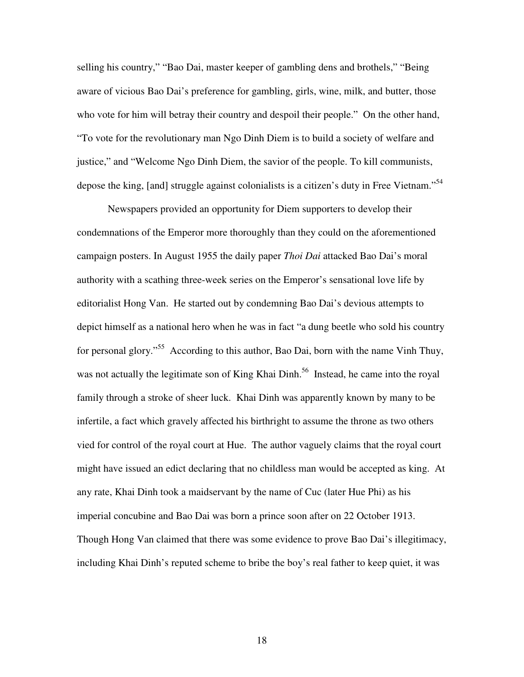selling his country," "Bao Dai, master keeper of gambling dens and brothels," "Being aware of vicious Bao Dai's preference for gambling, girls, wine, milk, and butter, those who vote for him will betray their country and despoil their people." On the other hand, "To vote for the revolutionary man Ngo Dinh Diem is to build a society of welfare and justice," and "Welcome Ngo Dinh Diem, the savior of the people. To kill communists, depose the king, [and] struggle against colonialists is a citizen's duty in Free Vietnam."<sup>54</sup>

Newspapers provided an opportunity for Diem supporters to develop their condemnations of the Emperor more thoroughly than they could on the aforementioned campaign posters. In August 1955 the daily paper *Thoi Dai* attacked Bao Dai's moral authority with a scathing three-week series on the Emperor's sensational love life by editorialist Hong Van. He started out by condemning Bao Dai's devious attempts to depict himself as a national hero when he was in fact "a dung beetle who sold his country for personal glory."<sup>55</sup> According to this author, Bao Dai, born with the name Vinh Thuy, was not actually the legitimate son of King Khai Dinh.<sup>56</sup> Instead, he came into the royal family through a stroke of sheer luck. Khai Dinh was apparently known by many to be infertile, a fact which gravely affected his birthright to assume the throne as two others vied for control of the royal court at Hue. The author vaguely claims that the royal court might have issued an edict declaring that no childless man would be accepted as king. At any rate, Khai Dinh took a maidservant by the name of Cuc (later Hue Phi) as his imperial concubine and Bao Dai was born a prince soon after on 22 October 1913. Though Hong Van claimed that there was some evidence to prove Bao Dai's illegitimacy, including Khai Dinh's reputed scheme to bribe the boy's real father to keep quiet, it was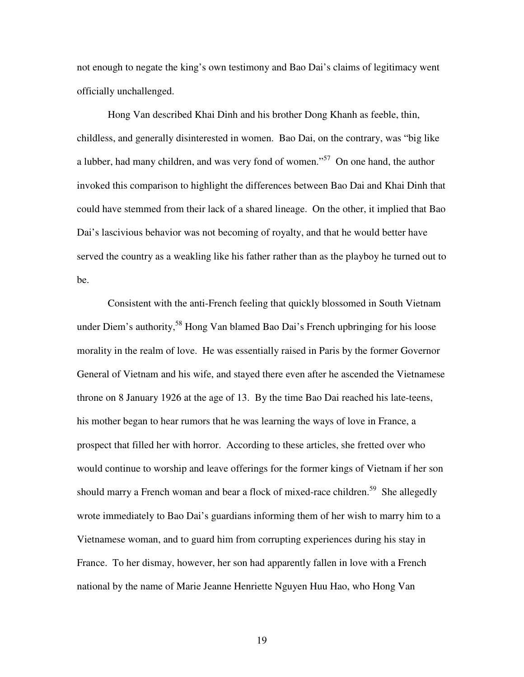not enough to negate the king's own testimony and Bao Dai's claims of legitimacy went officially unchallenged.

Hong Van described Khai Dinh and his brother Dong Khanh as feeble, thin, childless, and generally disinterested in women. Bao Dai, on the contrary, was "big like a lubber, had many children, and was very fond of women."57 On one hand, the author invoked this comparison to highlight the differences between Bao Dai and Khai Dinh that could have stemmed from their lack of a shared lineage. On the other, it implied that Bao Dai's lascivious behavior was not becoming of royalty, and that he would better have served the country as a weakling like his father rather than as the playboy he turned out to be.

Consistent with the anti-French feeling that quickly blossomed in South Vietnam under Diem's authority,<sup>58</sup> Hong Van blamed Bao Dai's French upbringing for his loose morality in the realm of love. He was essentially raised in Paris by the former Governor General of Vietnam and his wife, and stayed there even after he ascended the Vietnamese throne on 8 January 1926 at the age of 13. By the time Bao Dai reached his late-teens, his mother began to hear rumors that he was learning the ways of love in France, a prospect that filled her with horror. According to these articles, she fretted over who would continue to worship and leave offerings for the former kings of Vietnam if her son should marry a French woman and bear a flock of mixed-race children.<sup>59</sup> She allegedly wrote immediately to Bao Dai's guardians informing them of her wish to marry him to a Vietnamese woman, and to guard him from corrupting experiences during his stay in France. To her dismay, however, her son had apparently fallen in love with a French national by the name of Marie Jeanne Henriette Nguyen Huu Hao, who Hong Van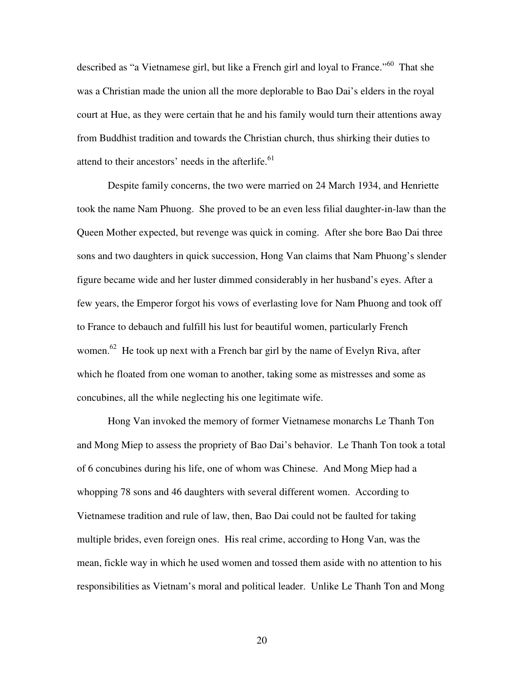described as "a Vietnamese girl, but like a French girl and loyal to France."<sup>60</sup> That she was a Christian made the union all the more deplorable to Bao Dai's elders in the royal court at Hue, as they were certain that he and his family would turn their attentions away from Buddhist tradition and towards the Christian church, thus shirking their duties to attend to their ancestors' needs in the afterlife.<sup>61</sup>

Despite family concerns, the two were married on 24 March 1934, and Henriette took the name Nam Phuong. She proved to be an even less filial daughter-in-law than the Queen Mother expected, but revenge was quick in coming. After she bore Bao Dai three sons and two daughters in quick succession, Hong Van claims that Nam Phuong's slender figure became wide and her luster dimmed considerably in her husband's eyes. After a few years, the Emperor forgot his vows of everlasting love for Nam Phuong and took off to France to debauch and fulfill his lust for beautiful women, particularly French women.<sup>62</sup> He took up next with a French bar girl by the name of Evelyn Riva, after which he floated from one woman to another, taking some as mistresses and some as concubines, all the while neglecting his one legitimate wife.

Hong Van invoked the memory of former Vietnamese monarchs Le Thanh Ton and Mong Miep to assess the propriety of Bao Dai's behavior. Le Thanh Ton took a total of 6 concubines during his life, one of whom was Chinese. And Mong Miep had a whopping 78 sons and 46 daughters with several different women. According to Vietnamese tradition and rule of law, then, Bao Dai could not be faulted for taking multiple brides, even foreign ones. His real crime, according to Hong Van, was the mean, fickle way in which he used women and tossed them aside with no attention to his responsibilities as Vietnam's moral and political leader. Unlike Le Thanh Ton and Mong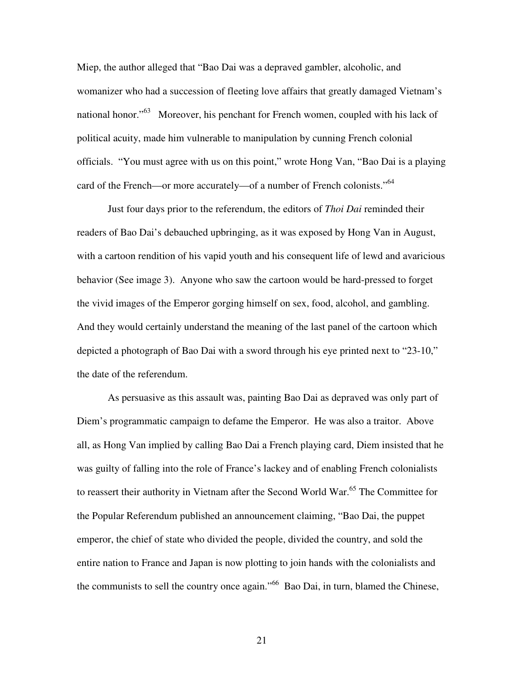Miep, the author alleged that "Bao Dai was a depraved gambler, alcoholic, and womanizer who had a succession of fleeting love affairs that greatly damaged Vietnam's national honor."<sup>63</sup> Moreover, his penchant for French women, coupled with his lack of political acuity, made him vulnerable to manipulation by cunning French colonial officials. "You must agree with us on this point," wrote Hong Van, "Bao Dai is a playing card of the French—or more accurately—of a number of French colonists."<sup>64</sup>

Just four days prior to the referendum, the editors of *Thoi Dai* reminded their readers of Bao Dai's debauched upbringing, as it was exposed by Hong Van in August, with a cartoon rendition of his vapid youth and his consequent life of lewd and avaricious behavior (See image 3). Anyone who saw the cartoon would be hard-pressed to forget the vivid images of the Emperor gorging himself on sex, food, alcohol, and gambling. And they would certainly understand the meaning of the last panel of the cartoon which depicted a photograph of Bao Dai with a sword through his eye printed next to "23-10," the date of the referendum.

As persuasive as this assault was, painting Bao Dai as depraved was only part of Diem's programmatic campaign to defame the Emperor. He was also a traitor. Above all, as Hong Van implied by calling Bao Dai a French playing card, Diem insisted that he was guilty of falling into the role of France's lackey and of enabling French colonialists to reassert their authority in Vietnam after the Second World War.<sup>65</sup> The Committee for the Popular Referendum published an announcement claiming, "Bao Dai, the puppet emperor, the chief of state who divided the people, divided the country, and sold the entire nation to France and Japan is now plotting to join hands with the colonialists and the communists to sell the country once again."<sup>66</sup> Bao Dai, in turn, blamed the Chinese,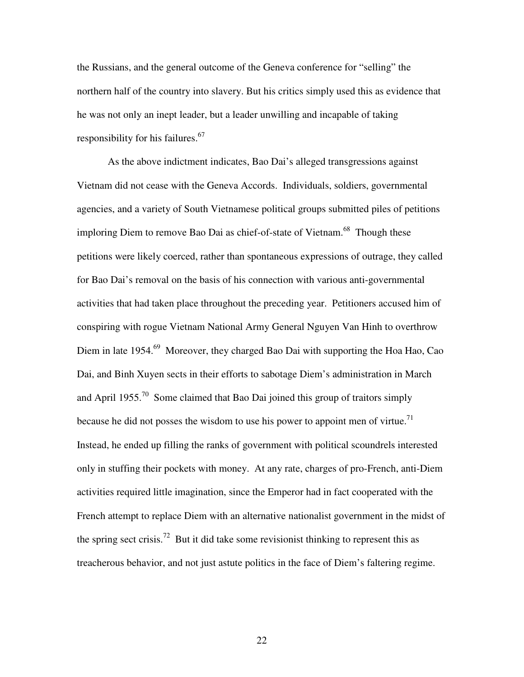the Russians, and the general outcome of the Geneva conference for "selling" the northern half of the country into slavery. But his critics simply used this as evidence that he was not only an inept leader, but a leader unwilling and incapable of taking responsibility for his failures.<sup>67</sup>

As the above indictment indicates, Bao Dai's alleged transgressions against Vietnam did not cease with the Geneva Accords. Individuals, soldiers, governmental agencies, and a variety of South Vietnamese political groups submitted piles of petitions imploring Diem to remove Bao Dai as chief-of-state of Vietnam.<sup>68</sup> Though these petitions were likely coerced, rather than spontaneous expressions of outrage, they called for Bao Dai's removal on the basis of his connection with various anti-governmental activities that had taken place throughout the preceding year. Petitioners accused him of conspiring with rogue Vietnam National Army General Nguyen Van Hinh to overthrow Diem in late 1954.<sup>69</sup> Moreover, they charged Bao Dai with supporting the Hoa Hao, Cao Dai, and Binh Xuyen sects in their efforts to sabotage Diem's administration in March and April 1955.<sup>70</sup> Some claimed that Bao Dai joined this group of traitors simply because he did not posses the wisdom to use his power to appoint men of virtue.<sup>71</sup> Instead, he ended up filling the ranks of government with political scoundrels interested only in stuffing their pockets with money. At any rate, charges of pro-French, anti-Diem activities required little imagination, since the Emperor had in fact cooperated with the French attempt to replace Diem with an alternative nationalist government in the midst of the spring sect crisis.<sup>72</sup> But it did take some revisionist thinking to represent this as treacherous behavior, and not just astute politics in the face of Diem's faltering regime.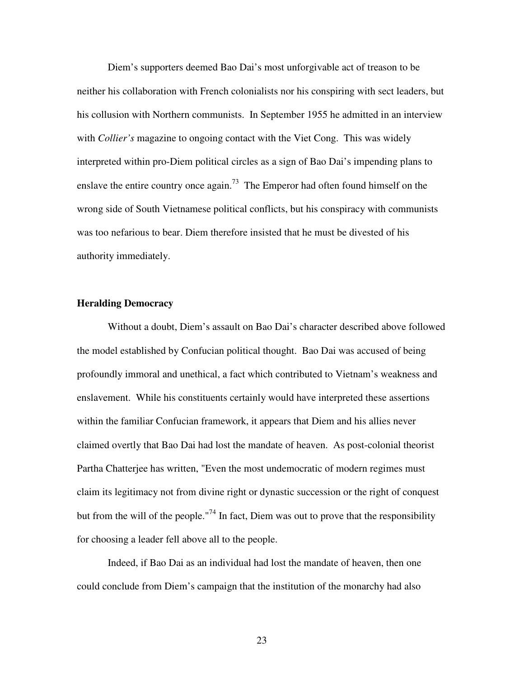Diem's supporters deemed Bao Dai's most unforgivable act of treason to be neither his collaboration with French colonialists nor his conspiring with sect leaders, but his collusion with Northern communists. In September 1955 he admitted in an interview with *Collier's* magazine to ongoing contact with the Viet Cong. This was widely interpreted within pro-Diem political circles as a sign of Bao Dai's impending plans to enslave the entire country once again.<sup>73</sup> The Emperor had often found himself on the wrong side of South Vietnamese political conflicts, but his conspiracy with communists was too nefarious to bear. Diem therefore insisted that he must be divested of his authority immediately.

#### **Heralding Democracy**

Without a doubt, Diem's assault on Bao Dai's character described above followed the model established by Confucian political thought. Bao Dai was accused of being profoundly immoral and unethical, a fact which contributed to Vietnam's weakness and enslavement. While his constituents certainly would have interpreted these assertions within the familiar Confucian framework, it appears that Diem and his allies never claimed overtly that Bao Dai had lost the mandate of heaven. As post-colonial theorist Partha Chatterjee has written, "Even the most undemocratic of modern regimes must claim its legitimacy not from divine right or dynastic succession or the right of conquest but from the will of the people."<sup>74</sup> In fact, Diem was out to prove that the responsibility for choosing a leader fell above all to the people.

Indeed, if Bao Dai as an individual had lost the mandate of heaven, then one could conclude from Diem's campaign that the institution of the monarchy had also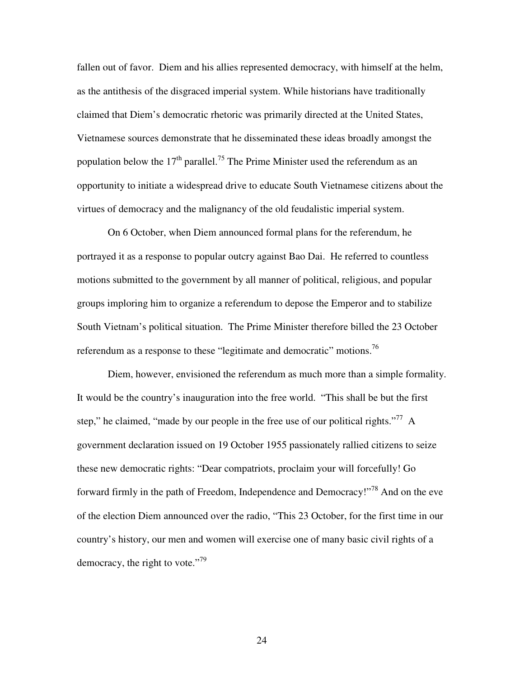fallen out of favor. Diem and his allies represented democracy, with himself at the helm, as the antithesis of the disgraced imperial system. While historians have traditionally claimed that Diem's democratic rhetoric was primarily directed at the United States, Vietnamese sources demonstrate that he disseminated these ideas broadly amongst the population below the  $17<sup>th</sup>$  parallel.<sup>75</sup> The Prime Minister used the referendum as an opportunity to initiate a widespread drive to educate South Vietnamese citizens about the virtues of democracy and the malignancy of the old feudalistic imperial system.

On 6 October, when Diem announced formal plans for the referendum, he portrayed it as a response to popular outcry against Bao Dai. He referred to countless motions submitted to the government by all manner of political, religious, and popular groups imploring him to organize a referendum to depose the Emperor and to stabilize South Vietnam's political situation. The Prime Minister therefore billed the 23 October referendum as a response to these "legitimate and democratic" motions.<sup>76</sup>

Diem, however, envisioned the referendum as much more than a simple formality. It would be the country's inauguration into the free world. "This shall be but the first step," he claimed, "made by our people in the free use of our political rights."<sup>77</sup> A government declaration issued on 19 October 1955 passionately rallied citizens to seize these new democratic rights: "Dear compatriots, proclaim your will forcefully! Go forward firmly in the path of Freedom, Independence and Democracy!"78 And on the eve of the election Diem announced over the radio, "This 23 October, for the first time in our country's history, our men and women will exercise one of many basic civil rights of a democracy, the right to vote."<sup>79</sup>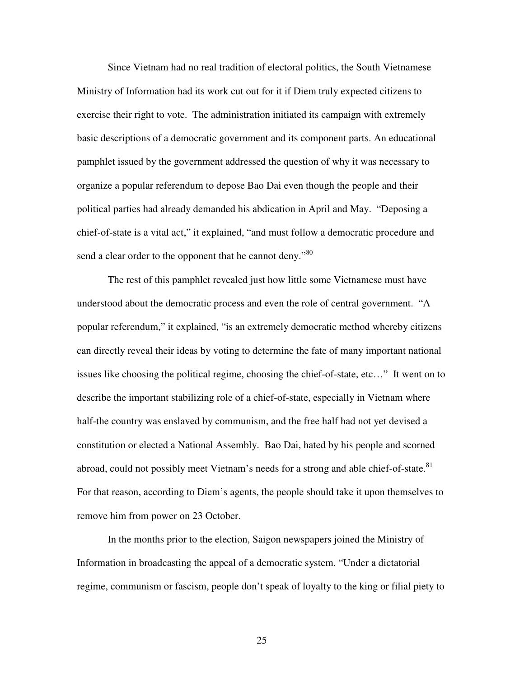Since Vietnam had no real tradition of electoral politics, the South Vietnamese Ministry of Information had its work cut out for it if Diem truly expected citizens to exercise their right to vote. The administration initiated its campaign with extremely basic descriptions of a democratic government and its component parts. An educational pamphlet issued by the government addressed the question of why it was necessary to organize a popular referendum to depose Bao Dai even though the people and their political parties had already demanded his abdication in April and May. "Deposing a chief-of-state is a vital act," it explained, "and must follow a democratic procedure and send a clear order to the opponent that he cannot deny."<sup>80</sup>

The rest of this pamphlet revealed just how little some Vietnamese must have understood about the democratic process and even the role of central government. "A popular referendum," it explained, "is an extremely democratic method whereby citizens can directly reveal their ideas by voting to determine the fate of many important national issues like choosing the political regime, choosing the chief-of-state, etc…" It went on to describe the important stabilizing role of a chief-of-state, especially in Vietnam where half-the country was enslaved by communism, and the free half had not yet devised a constitution or elected a National Assembly. Bao Dai, hated by his people and scorned abroad, could not possibly meet Vietnam's needs for a strong and able chief-of-state.<sup>81</sup> For that reason, according to Diem's agents, the people should take it upon themselves to remove him from power on 23 October.

In the months prior to the election, Saigon newspapers joined the Ministry of Information in broadcasting the appeal of a democratic system. "Under a dictatorial regime, communism or fascism, people don't speak of loyalty to the king or filial piety to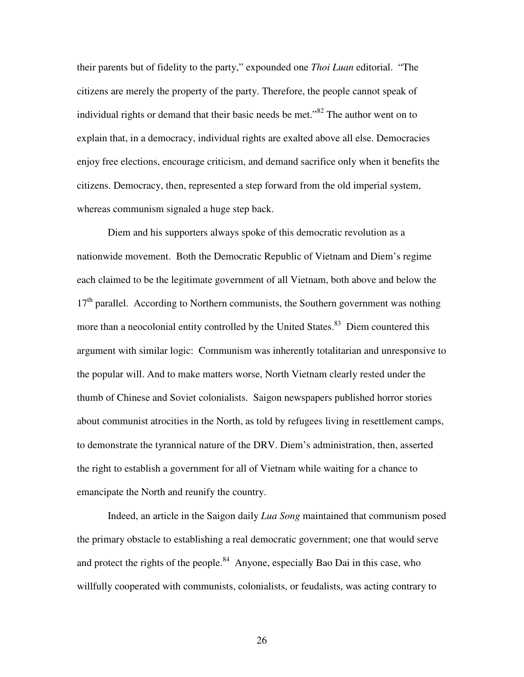their parents but of fidelity to the party," expounded one *Thoi Luan* editorial. "The citizens are merely the property of the party. Therefore, the people cannot speak of individual rights or demand that their basic needs be met."<sup>82</sup> The author went on to explain that, in a democracy, individual rights are exalted above all else. Democracies enjoy free elections, encourage criticism, and demand sacrifice only when it benefits the citizens. Democracy, then, represented a step forward from the old imperial system, whereas communism signaled a huge step back.

Diem and his supporters always spoke of this democratic revolution as a nationwide movement. Both the Democratic Republic of Vietnam and Diem's regime each claimed to be the legitimate government of all Vietnam, both above and below the  $17<sup>th</sup>$  parallel. According to Northern communists, the Southern government was nothing more than a neocolonial entity controlled by the United States.<sup>83</sup> Diem countered this argument with similar logic: Communism was inherently totalitarian and unresponsive to the popular will. And to make matters worse, North Vietnam clearly rested under the thumb of Chinese and Soviet colonialists. Saigon newspapers published horror stories about communist atrocities in the North, as told by refugees living in resettlement camps, to demonstrate the tyrannical nature of the DRV. Diem's administration, then, asserted the right to establish a government for all of Vietnam while waiting for a chance to emancipate the North and reunify the country.

Indeed, an article in the Saigon daily *Lua Song* maintained that communism posed the primary obstacle to establishing a real democratic government; one that would serve and protect the rights of the people.<sup>84</sup> Anyone, especially Bao Dai in this case, who willfully cooperated with communists, colonialists, or feudalists, was acting contrary to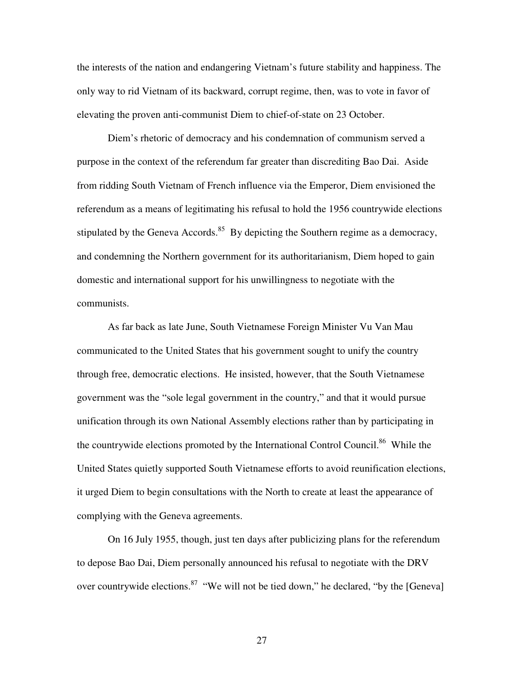the interests of the nation and endangering Vietnam's future stability and happiness. The only way to rid Vietnam of its backward, corrupt regime, then, was to vote in favor of elevating the proven anti-communist Diem to chief-of-state on 23 October.

Diem's rhetoric of democracy and his condemnation of communism served a purpose in the context of the referendum far greater than discrediting Bao Dai. Aside from ridding South Vietnam of French influence via the Emperor, Diem envisioned the referendum as a means of legitimating his refusal to hold the 1956 countrywide elections stipulated by the Geneva Accords.<sup>85</sup> By depicting the Southern regime as a democracy, and condemning the Northern government for its authoritarianism, Diem hoped to gain domestic and international support for his unwillingness to negotiate with the communists.

As far back as late June, South Vietnamese Foreign Minister Vu Van Mau communicated to the United States that his government sought to unify the country through free, democratic elections. He insisted, however, that the South Vietnamese government was the "sole legal government in the country," and that it would pursue unification through its own National Assembly elections rather than by participating in the countrywide elections promoted by the International Control Council.<sup>86</sup> While the United States quietly supported South Vietnamese efforts to avoid reunification elections, it urged Diem to begin consultations with the North to create at least the appearance of complying with the Geneva agreements.

On 16 July 1955, though, just ten days after publicizing plans for the referendum to depose Bao Dai, Diem personally announced his refusal to negotiate with the DRV over countrywide elections.<sup>87</sup> "We will not be tied down," he declared, "by the [Geneva]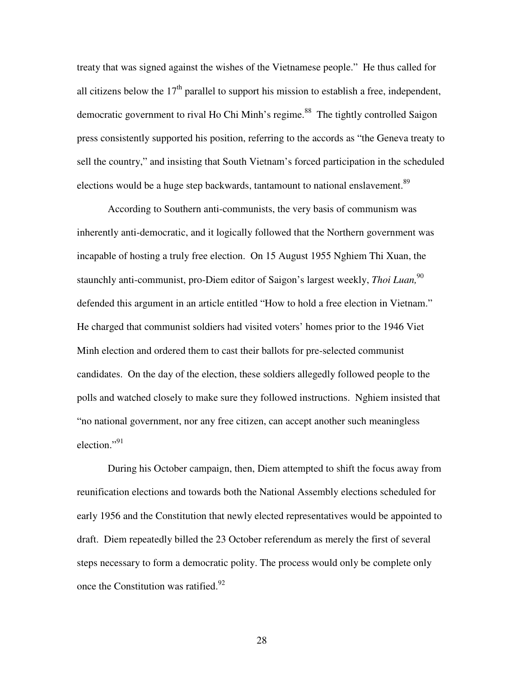treaty that was signed against the wishes of the Vietnamese people." He thus called for all citizens below the  $17<sup>th</sup>$  parallel to support his mission to establish a free, independent, democratic government to rival Ho Chi Minh's regime.<sup>88</sup> The tightly controlled Saigon press consistently supported his position, referring to the accords as "the Geneva treaty to sell the country," and insisting that South Vietnam's forced participation in the scheduled elections would be a huge step backwards, tantamount to national enslavement.<sup>89</sup>

According to Southern anti-communists, the very basis of communism was inherently anti-democratic, and it logically followed that the Northern government was incapable of hosting a truly free election. On 15 August 1955 Nghiem Thi Xuan, the staunchly anti-communist, pro-Diem editor of Saigon's largest weekly, *Thoi Luan,*<sup>90</sup> defended this argument in an article entitled "How to hold a free election in Vietnam." He charged that communist soldiers had visited voters' homes prior to the 1946 Viet Minh election and ordered them to cast their ballots for pre-selected communist candidates. On the day of the election, these soldiers allegedly followed people to the polls and watched closely to make sure they followed instructions. Nghiem insisted that "no national government, nor any free citizen, can accept another such meaningless election."<sup>91</sup>

During his October campaign, then, Diem attempted to shift the focus away from reunification elections and towards both the National Assembly elections scheduled for early 1956 and the Constitution that newly elected representatives would be appointed to draft. Diem repeatedly billed the 23 October referendum as merely the first of several steps necessary to form a democratic polity. The process would only be complete only once the Constitution was ratified. $92$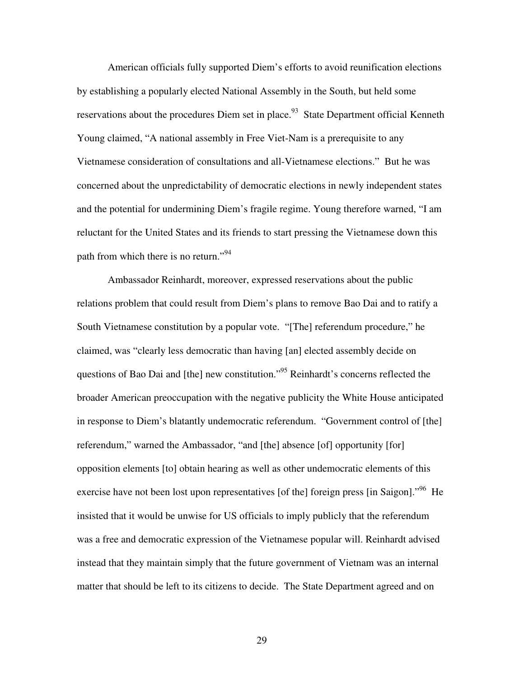American officials fully supported Diem's efforts to avoid reunification elections by establishing a popularly elected National Assembly in the South, but held some reservations about the procedures Diem set in place.<sup>93</sup> State Department official Kenneth Young claimed, "A national assembly in Free Viet-Nam is a prerequisite to any Vietnamese consideration of consultations and all-Vietnamese elections." But he was concerned about the unpredictability of democratic elections in newly independent states and the potential for undermining Diem's fragile regime. Young therefore warned, "I am reluctant for the United States and its friends to start pressing the Vietnamese down this path from which there is no return."<sup>94</sup>

Ambassador Reinhardt, moreover, expressed reservations about the public relations problem that could result from Diem's plans to remove Bao Dai and to ratify a South Vietnamese constitution by a popular vote. "[The] referendum procedure," he claimed, was "clearly less democratic than having [an] elected assembly decide on questions of Bao Dai and [the] new constitution."95 Reinhardt's concerns reflected the broader American preoccupation with the negative publicity the White House anticipated in response to Diem's blatantly undemocratic referendum. "Government control of [the] referendum," warned the Ambassador, "and [the] absence [of] opportunity [for] opposition elements [to] obtain hearing as well as other undemocratic elements of this exercise have not been lost upon representatives [of the] foreign press [in Saigon]."<sup>96</sup> He insisted that it would be unwise for US officials to imply publicly that the referendum was a free and democratic expression of the Vietnamese popular will. Reinhardt advised instead that they maintain simply that the future government of Vietnam was an internal matter that should be left to its citizens to decide. The State Department agreed and on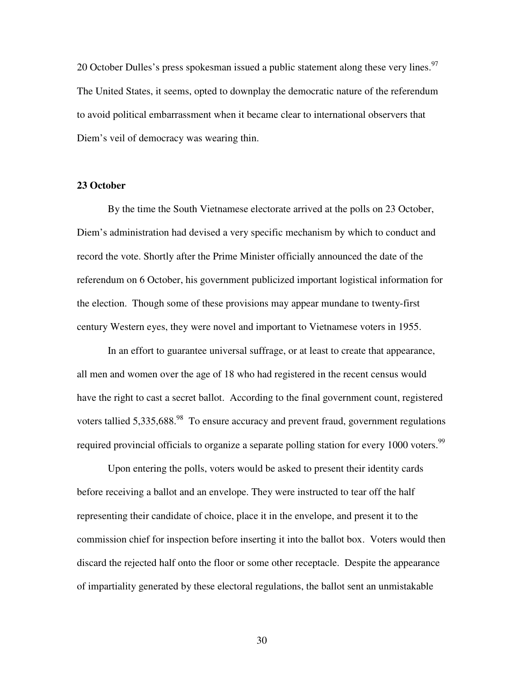20 October Dulles's press spokesman issued a public statement along these very lines.  $97$ The United States, it seems, opted to downplay the democratic nature of the referendum to avoid political embarrassment when it became clear to international observers that Diem's veil of democracy was wearing thin.

#### **23 October**

By the time the South Vietnamese electorate arrived at the polls on 23 October, Diem's administration had devised a very specific mechanism by which to conduct and record the vote. Shortly after the Prime Minister officially announced the date of the referendum on 6 October, his government publicized important logistical information for the election. Though some of these provisions may appear mundane to twenty-first century Western eyes, they were novel and important to Vietnamese voters in 1955.

In an effort to guarantee universal suffrage, or at least to create that appearance, all men and women over the age of 18 who had registered in the recent census would have the right to cast a secret ballot. According to the final government count, registered voters tallied  $5,335,688$ <sup>98</sup> To ensure accuracy and prevent fraud, government regulations required provincial officials to organize a separate polling station for every 1000 voters.<sup>99</sup>

Upon entering the polls, voters would be asked to present their identity cards before receiving a ballot and an envelope. They were instructed to tear off the half representing their candidate of choice, place it in the envelope, and present it to the commission chief for inspection before inserting it into the ballot box. Voters would then discard the rejected half onto the floor or some other receptacle. Despite the appearance of impartiality generated by these electoral regulations, the ballot sent an unmistakable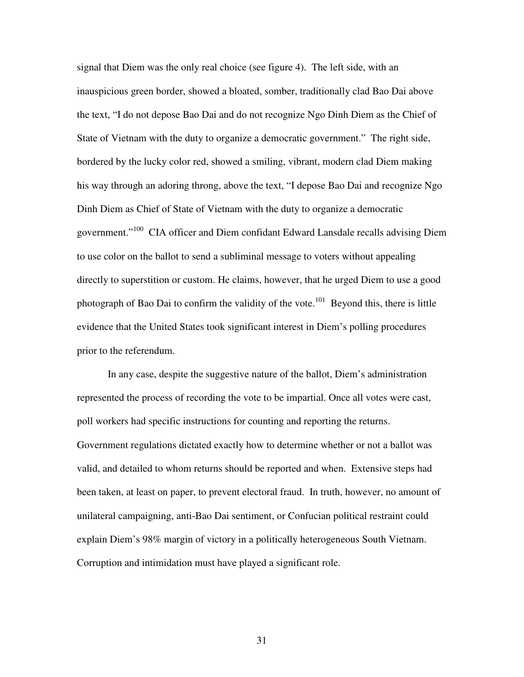signal that Diem was the only real choice (see figure 4). The left side, with an inauspicious green border, showed a bloated, somber, traditionally clad Bao Dai above the text, "I do not depose Bao Dai and do not recognize Ngo Dinh Diem as the Chief of State of Vietnam with the duty to organize a democratic government." The right side, bordered by the lucky color red, showed a smiling, vibrant, modern clad Diem making his way through an adoring throng, above the text, "I depose Bao Dai and recognize Ngo Dinh Diem as Chief of State of Vietnam with the duty to organize a democratic government."<sup>100</sup> CIA officer and Diem confidant Edward Lansdale recalls advising Diem to use color on the ballot to send a subliminal message to voters without appealing directly to superstition or custom. He claims, however, that he urged Diem to use a good photograph of Bao Dai to confirm the validity of the vote.<sup>101</sup> Beyond this, there is little evidence that the United States took significant interest in Diem's polling procedures prior to the referendum.

In any case, despite the suggestive nature of the ballot, Diem's administration represented the process of recording the vote to be impartial. Once all votes were cast, poll workers had specific instructions for counting and reporting the returns. Government regulations dictated exactly how to determine whether or not a ballot was valid, and detailed to whom returns should be reported and when. Extensive steps had been taken, at least on paper, to prevent electoral fraud. In truth, however, no amount of unilateral campaigning, anti-Bao Dai sentiment, or Confucian political restraint could explain Diem's 98% margin of victory in a politically heterogeneous South Vietnam. Corruption and intimidation must have played a significant role.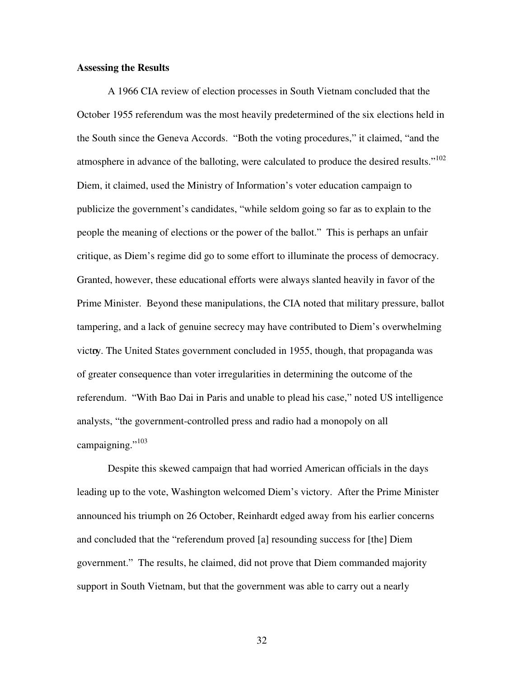#### **Assessing the Results**

A 1966 CIA review of election processes in South Vietnam concluded that the October 1955 referendum was the most heavily predetermined of the six elections held in the South since the Geneva Accords. "Both the voting procedures," it claimed, "and the atmosphere in advance of the balloting, were calculated to produce the desired results."<sup>102</sup> Diem, it claimed, used the Ministry of Information's voter education campaign to publicize the government's candidates, "while seldom going so far as to explain to the people the meaning of elections or the power of the ballot." This is perhaps an unfair critique, as Diem's regime did go to some effort to illuminate the process of democracy. Granted, however, these educational efforts were always slanted heavily in favor of the Prime Minister. Beyond these manipulations, the CIA noted that military pressure, ballot tampering, and a lack of genuine secrecy may have contributed to Diem's overwhelming victoy. The United States government concluded in 1955, though, that propaganda was of greater consequence than voter irregularities in determining the outcome of the referendum. "With Bao Dai in Paris and unable to plead his case," noted US intelligence analysts, "the government-controlled press and radio had a monopoly on all campaigning."<sup>103</sup>

Despite this skewed campaign that had worried American officials in the days leading up to the vote, Washington welcomed Diem's victory. After the Prime Minister announced his triumph on 26 October, Reinhardt edged away from his earlier concerns and concluded that the "referendum proved [a] resounding success for [the] Diem government." The results, he claimed, did not prove that Diem commanded majority support in South Vietnam, but that the government was able to carry out a nearly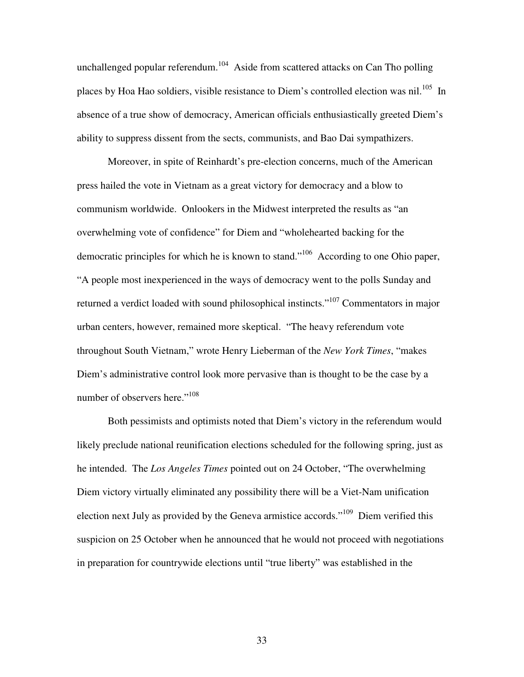unchallenged popular referendum.<sup>104</sup> Aside from scattered attacks on Can Tho polling places by Hoa Hao soldiers, visible resistance to Diem's controlled election was nil.<sup>105</sup> In absence of a true show of democracy, American officials enthusiastically greeted Diem's ability to suppress dissent from the sects, communists, and Bao Dai sympathizers.

Moreover, in spite of Reinhardt's pre-election concerns, much of the American press hailed the vote in Vietnam as a great victory for democracy and a blow to communism worldwide. Onlookers in the Midwest interpreted the results as "an overwhelming vote of confidence" for Diem and "wholehearted backing for the democratic principles for which he is known to stand."106 According to one Ohio paper, "A people most inexperienced in the ways of democracy went to the polls Sunday and returned a verdict loaded with sound philosophical instincts."<sup>107</sup> Commentators in major urban centers, however, remained more skeptical. "The heavy referendum vote throughout South Vietnam," wrote Henry Lieberman of the *New York Times*, "makes Diem's administrative control look more pervasive than is thought to be the case by a number of observers here."<sup>108</sup>

Both pessimists and optimists noted that Diem's victory in the referendum would likely preclude national reunification elections scheduled for the following spring, just as he intended. The *Los Angeles Times* pointed out on 24 October, "The overwhelming Diem victory virtually eliminated any possibility there will be a Viet-Nam unification election next July as provided by the Geneva armistice accords."109 Diem verified this suspicion on 25 October when he announced that he would not proceed with negotiations in preparation for countrywide elections until "true liberty" was established in the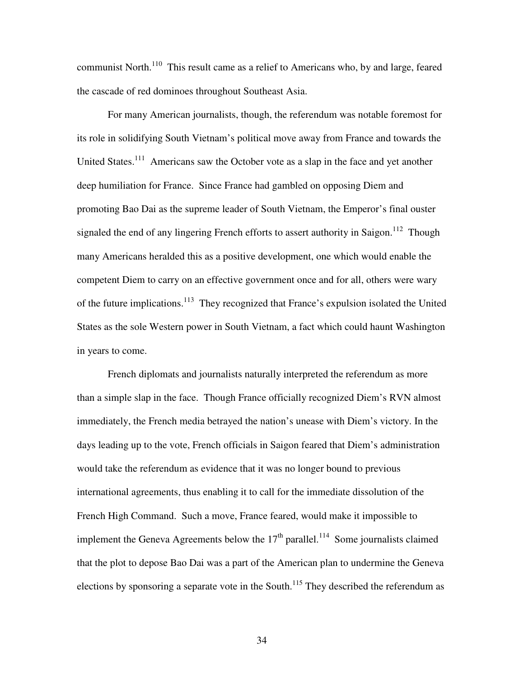communist North.<sup>110</sup> This result came as a relief to Americans who, by and large, feared the cascade of red dominoes throughout Southeast Asia.

For many American journalists, though, the referendum was notable foremost for its role in solidifying South Vietnam's political move away from France and towards the United States.<sup>111</sup> Americans saw the October vote as a slap in the face and yet another deep humiliation for France. Since France had gambled on opposing Diem and promoting Bao Dai as the supreme leader of South Vietnam, the Emperor's final ouster signaled the end of any lingering French efforts to assert authority in Saigon.<sup>112</sup> Though many Americans heralded this as a positive development, one which would enable the competent Diem to carry on an effective government once and for all, others were wary of the future implications.113 They recognized that France's expulsion isolated the United States as the sole Western power in South Vietnam, a fact which could haunt Washington in years to come.

French diplomats and journalists naturally interpreted the referendum as more than a simple slap in the face. Though France officially recognized Diem's RVN almost immediately, the French media betrayed the nation's unease with Diem's victory. In the days leading up to the vote, French officials in Saigon feared that Diem's administration would take the referendum as evidence that it was no longer bound to previous international agreements, thus enabling it to call for the immediate dissolution of the French High Command. Such a move, France feared, would make it impossible to implement the Geneva Agreements below the  $17<sup>th</sup>$  parallel.<sup>114</sup> Some journalists claimed that the plot to depose Bao Dai was a part of the American plan to undermine the Geneva elections by sponsoring a separate vote in the South.<sup>115</sup> They described the referendum as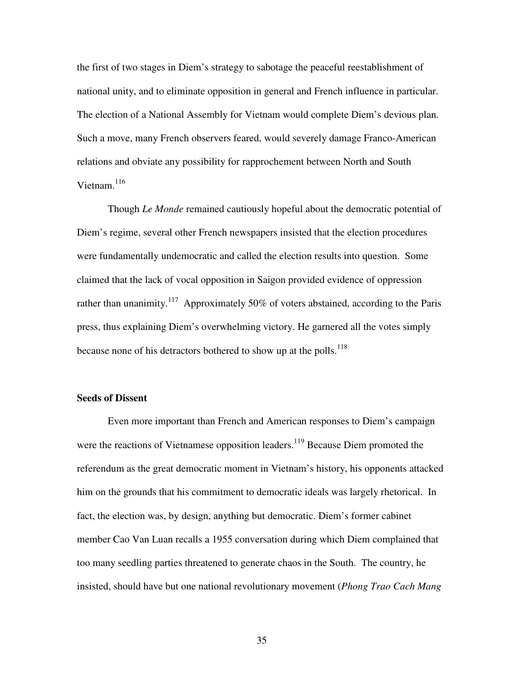the first of two stages in Diem's strategy to sabotage the peaceful reestablishment of national unity, and to eliminate opposition in general and French influence in particular. The election of a National Assembly for Vietnam would complete Diem's devious plan. Such a move, many French observers feared, would severely damage Franco-American relations and obviate any possibility for rapprochement between North and South Vietnam.<sup>116</sup>

Though *Le Monde* remained cautiously hopeful about the democratic potential of Diem's regime, several other French newspapers insisted that the election procedures were fundamentally undemocratic and called the election results into question. Some claimed that the lack of vocal opposition in Saigon provided evidence of oppression rather than unanimity.<sup>117</sup> Approximately 50% of voters abstained, according to the Paris press, thus explaining Diem's overwhelming victory. He garnered all the votes simply because none of his detractors bothered to show up at the polls.<sup>118</sup>

#### **Seeds of Dissent**

Even more important than French and American responses to Diem's campaign were the reactions of Vietnamese opposition leaders.<sup>119</sup> Because Diem promoted the referendum as the great democratic moment in Vietnam's history, his opponents attacked him on the grounds that his commitment to democratic ideals was largely rhetorical. In fact, the election was, by design, anything but democratic. Diem's former cabinet member Cao Van Luan recalls a 1955 conversation during which Diem complained that too many seedling parties threatened to generate chaos in the South. The country, he insisted, should have but one national revolutionary movement (*Phong Trao Cach Mang*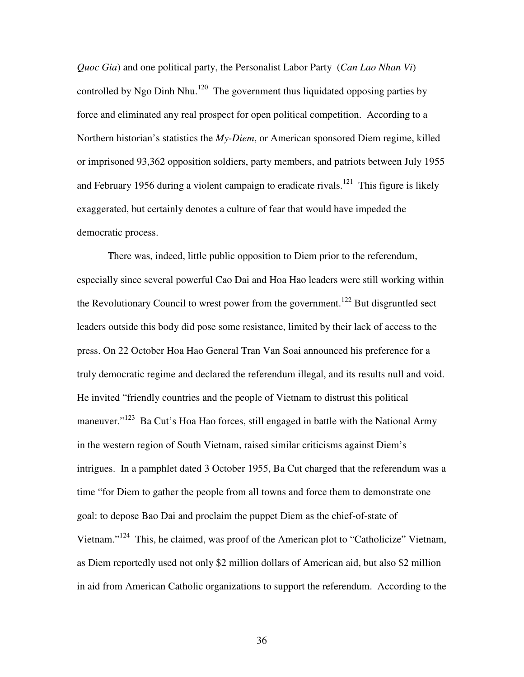*Quoc Gia*) and one political party, the Personalist Labor Party (*Can Lao Nhan Vi*) controlled by Ngo Dinh Nhu.<sup>120</sup> The government thus liquidated opposing parties by force and eliminated any real prospect for open political competition. According to a Northern historian's statistics the *My-Diem*, or American sponsored Diem regime, killed or imprisoned 93,362 opposition soldiers, party members, and patriots between July 1955 and February 1956 during a violent campaign to eradicate rivals.<sup>121</sup> This figure is likely exaggerated, but certainly denotes a culture of fear that would have impeded the democratic process.

There was, indeed, little public opposition to Diem prior to the referendum, especially since several powerful Cao Dai and Hoa Hao leaders were still working within the Revolutionary Council to wrest power from the government.<sup>122</sup> But disgruntled sect leaders outside this body did pose some resistance, limited by their lack of access to the press. On 22 October Hoa Hao General Tran Van Soai announced his preference for a truly democratic regime and declared the referendum illegal, and its results null and void. He invited "friendly countries and the people of Vietnam to distrust this political maneuver."<sup>123</sup> Ba Cut's Hoa Hao forces, still engaged in battle with the National Army in the western region of South Vietnam, raised similar criticisms against Diem's intrigues. In a pamphlet dated 3 October 1955, Ba Cut charged that the referendum was a time "for Diem to gather the people from all towns and force them to demonstrate one goal: to depose Bao Dai and proclaim the puppet Diem as the chief-of-state of Vietnam."124 This, he claimed, was proof of the American plot to "Catholicize" Vietnam, as Diem reportedly used not only \$2 million dollars of American aid, but also \$2 million in aid from American Catholic organizations to support the referendum. According to the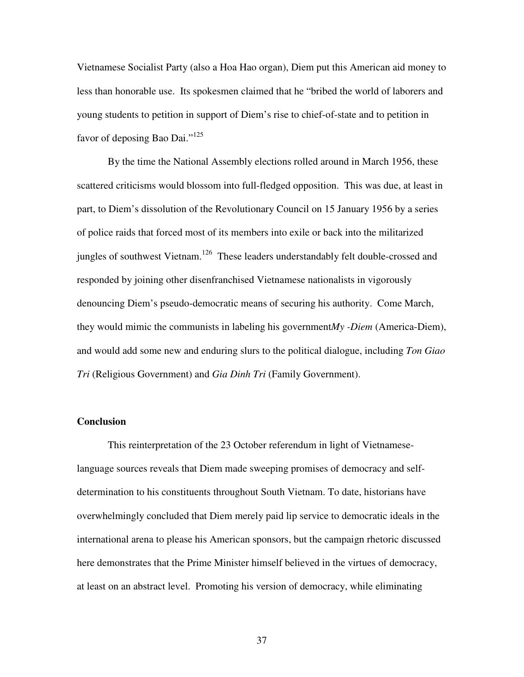Vietnamese Socialist Party (also a Hoa Hao organ), Diem put this American aid money to less than honorable use. Its spokesmen claimed that he "bribed the world of laborers and young students to petition in support of Diem's rise to chief-of-state and to petition in favor of deposing Bao Dai."<sup>125</sup>

By the time the National Assembly elections rolled around in March 1956, these scattered criticisms would blossom into full-fledged opposition. This was due, at least in part, to Diem's dissolution of the Revolutionary Council on 15 January 1956 by a series of police raids that forced most of its members into exile or back into the militarized jungles of southwest Vietnam.<sup>126</sup> These leaders understandably felt double-crossed and responded by joining other disenfranchised Vietnamese nationalists in vigorously denouncing Diem's pseudo-democratic means of securing his authority. Come March, they would mimic the communists in labeling his government *My -Diem* (America-Diem), and would add some new and enduring slurs to the political dialogue, including *Ton Giao Tri* (Religious Government) and *Gia Dinh Tri* (Family Government).

#### **Conclusion**

This reinterpretation of the 23 October referendum in light of Vietnameselanguage sources reveals that Diem made sweeping promises of democracy and selfdetermination to his constituents throughout South Vietnam. To date, historians have overwhelmingly concluded that Diem merely paid lip service to democratic ideals in the international arena to please his American sponsors, but the campaign rhetoric discussed here demonstrates that the Prime Minister himself believed in the virtues of democracy, at least on an abstract level. Promoting his version of democracy, while eliminating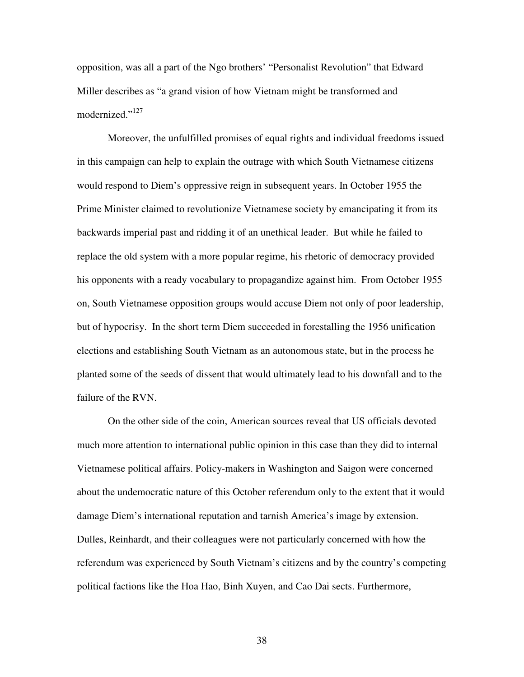opposition, was all a part of the Ngo brothers' "Personalist Revolution" that Edward Miller describes as "a grand vision of how Vietnam might be transformed and modernized."<sup>127</sup>

Moreover, the unfulfilled promises of equal rights and individual freedoms issued in this campaign can help to explain the outrage with which South Vietnamese citizens would respond to Diem's oppressive reign in subsequent years. In October 1955 the Prime Minister claimed to revolutionize Vietnamese society by emancipating it from its backwards imperial past and ridding it of an unethical leader. But while he failed to replace the old system with a more popular regime, his rhetoric of democracy provided his opponents with a ready vocabulary to propagandize against him. From October 1955 on, South Vietnamese opposition groups would accuse Diem not only of poor leadership, but of hypocrisy. In the short term Diem succeeded in forestalling the 1956 unification elections and establishing South Vietnam as an autonomous state, but in the process he planted some of the seeds of dissent that would ultimately lead to his downfall and to the failure of the RVN.

On the other side of the coin, American sources reveal that US officials devoted much more attention to international public opinion in this case than they did to internal Vietnamese political affairs. Policy-makers in Washington and Saigon were concerned about the undemocratic nature of this October referendum only to the extent that it would damage Diem's international reputation and tarnish America's image by extension. Dulles, Reinhardt, and their colleagues were not particularly concerned with how the referendum was experienced by South Vietnam's citizens and by the country's competing political factions like the Hoa Hao, Binh Xuyen, and Cao Dai sects. Furthermore,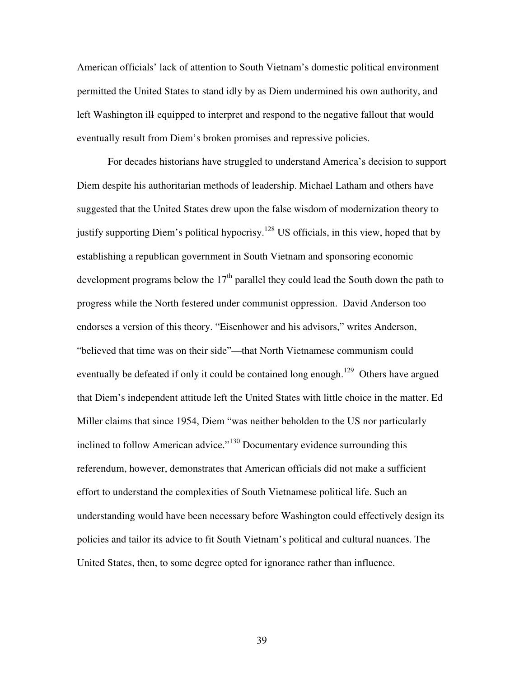American officials' lack of attention to South Vietnam's domestic political environment permitted the United States to stand idly by as Diem undermined his own authority, and left Washington ill- equipped to interpret and respond to the negative fallout that would eventually result from Diem's broken promises and repressive policies.

For decades historians have struggled to understand America's decision to support Diem despite his authoritarian methods of leadership. Michael Latham and others have suggested that the United States drew upon the false wisdom of modernization theory to justify supporting Diem's political hypocrisy.<sup>128</sup> US officials, in this view, hoped that by establishing a republican government in South Vietnam and sponsoring economic development programs below the  $17<sup>th</sup>$  parallel they could lead the South down the path to progress while the North festered under communist oppression. David Anderson too endorses a version of this theory. "Eisenhower and his advisors," writes Anderson, "believed that time was on their side"—that North Vietnamese communism could eventually be defeated if only it could be contained long enough.<sup>129</sup> Others have argued that Diem's independent attitude left the United States with little choice in the matter. Ed Miller claims that since 1954, Diem "was neither beholden to the US nor particularly inclined to follow American advice."<sup>130</sup> Documentary evidence surrounding this referendum, however, demonstrates that American officials did not make a sufficient effort to understand the complexities of South Vietnamese political life. Such an understanding would have been necessary before Washington could effectively design its policies and tailor its advice to fit South Vietnam's political and cultural nuances. The United States, then, to some degree opted for ignorance rather than influence.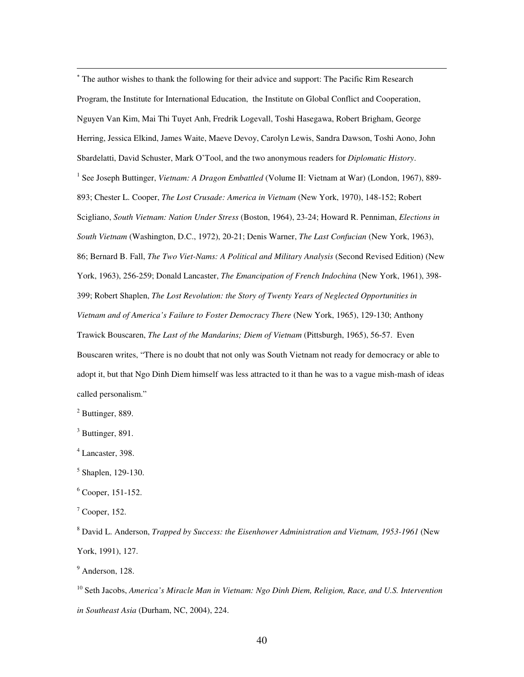The author wishes to thank the following for their advice and support: The Pacific Rim Research Program, the Institute for International Education, the Institute on Global Conflict and Cooperation, Nguyen Van Kim, Mai Thi Tuyet Anh, Fredrik Logevall, Toshi Hasegawa, Robert Brigham, George Herring, Jessica Elkind, James Waite, Maeve Devoy, Carolyn Lewis, Sandra Dawson, Toshi Aono, John Sbardelatti, David Schuster, Mark O'Tool, and the two anonymous readers for *Diplomatic History*. <sup>1</sup> See Joseph Buttinger, *Vietnam: A Dragon Embattled* (Volume II: Vietnam at War) (London, 1967), 889-893; Chester L. Cooper, *The Lost Crusade: America in Vietnam* (New York, 1970), 148-152; Robert Scigliano, *South Vietnam: Nation Under Stress* (Boston, 1964), 23-24; Howard R. Penniman, *Elections in South Vietnam* (Washington, D.C., 1972), 20-21; Denis Warner, *The Last Confucian* (New York, 1963), 86; Bernard B. Fall, *The Two Viet-Nams: A Political and Military Analysis* (Second Revised Edition) (New York, 1963), 256-259; Donald Lancaster, *The Emancipation of French Indochina* (New York, 1961), 398- 399; Robert Shaplen, *The Lost Revolution: the Story of Twenty Years of Neglected Opportunities in Vietnam and of America's Failure to Foster Democracy There* (New York, 1965), 129-130; Anthony Trawick Bouscaren, *The Last of the Mandarins; Diem of Vietnam* (Pittsburgh, 1965), 56-57. Even Bouscaren writes, "There is no doubt that not only was South Vietnam not ready for democracy or able to adopt it, but that Ngo Dinh Diem himself was less attracted to it than he was to a vague mish-mash of ideas called personalism."

 $2$  Buttinger, 889.

 $3$  Buttinger, 891.

4 Lancaster, 398.

<sup>5</sup> Shaplen, 129-130.

 $6$  Cooper, 151-152.

 $7$  Cooper, 152.

8 David L. Anderson, *Trapped by Success: the Eisenhower Administration and Vietnam, 1953-1961* (New York, 1991), 127.

 $<sup>9</sup>$  Anderson, 128.</sup>

<sup>10</sup> Seth Jacobs, *America's Miracle Man in Vietnam: Ngo Dinh Diem, Religion, Race, and U.S. Intervention in Southeast Asia* (Durham, NC, 2004), 224.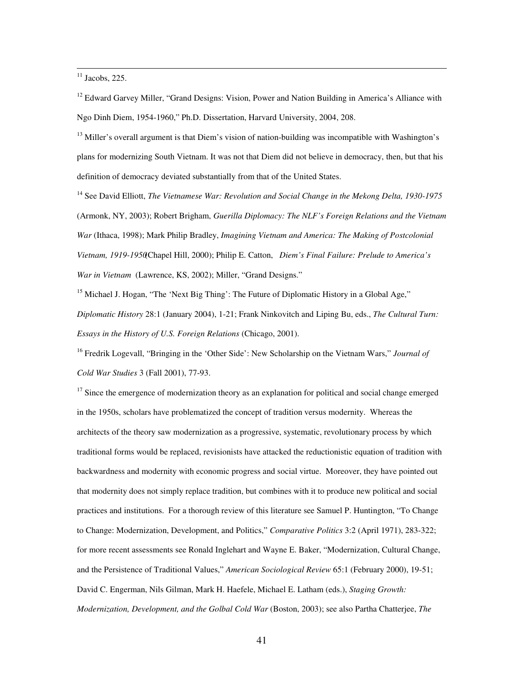$11$  Jacobs, 225.

 $12$  Edward Garvey Miller, "Grand Designs: Vision, Power and Nation Building in America's Alliance with Ngo Dinh Diem, 1954-1960," Ph.D. Dissertation, Harvard University, 2004, 208.

<sup>13</sup> Miller's overall argument is that Diem's vision of nation-building was incompatible with Washington's plans for modernizing South Vietnam. It was not that Diem did not believe in democracy, then, but that his definition of democracy deviated substantially from that of the United States.

14 See David Elliott, *The Vietnamese War: Revolution and Social Change in the Mekong Delta, 1930-1975* (Armonk, NY, 2003); Robert Brigham, *Guerilla Diplomacy: The NLF's Foreign Relations and the Vietnam War* (Ithaca, 1998); Mark Philip Bradley, *Imagining Vietnam and America: The Making of Postcolonial Vietnam, 1919-1950* (Chapel Hill, 2000); Philip E. Catton, *Diem's Final Failure: Prelude to America's War in Vietnam* (Lawrence, KS, 2002); Miller, "Grand Designs."

<sup>15</sup> Michael J. Hogan, "The 'Next Big Thing': The Future of Diplomatic History in a Global Age," *Diplomatic History* 28:1 (January 2004), 1-21; Frank Ninkovitch and Liping Bu, eds., *The Cultural Turn: Essays in the History of U.S. Foreign Relations* (Chicago, 2001).

16 Fredrik Logevall, "Bringing in the 'Other Side': New Scholarship on the Vietnam Wars," *Journal of Cold War Studies* 3 (Fall 2001), 77-93.

 $17$  Since the emergence of modernization theory as an explanation for political and social change emerged in the 1950s, scholars have problematized the concept of tradition versus modernity. Whereas the architects of the theory saw modernization as a progressive, systematic, revolutionary process by which traditional forms would be replaced, revisionists have attacked the reductionistic equation of tradition with backwardness and modernity with economic progress and social virtue. Moreover, they have pointed out that modernity does not simply replace tradition, but combines with it to produce new political and social practices and institutions. For a thorough review of this literature see Samuel P. Huntington, "To Change to Change: Modernization, Development, and Politics," *Comparative Politics* 3:2 (April 1971), 283-322; for more recent assessments see Ronald Inglehart and Wayne E. Baker, "Modernization, Cultural Change, and the Persistence of Traditional Values," *American Sociological Review* 65:1 (February 2000), 19-51; David C. Engerman, Nils Gilman, Mark H. Haefele, Michael E. Latham (eds.), *Staging Growth: Modernization, Development, and the Golbal Cold War* (Boston, 2003); see also Partha Chatterjee, *The*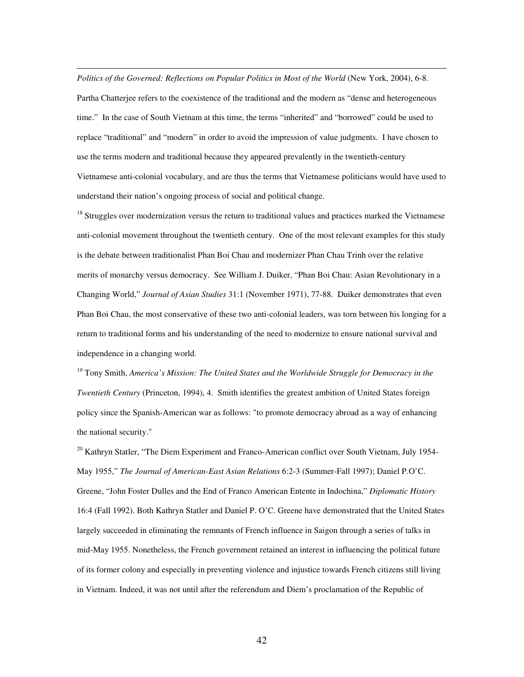#### *Politics of the Governed: Reflections on Popular Politics in Most of the World* (New York, 2004), 6-8.

Partha Chatterjee refers to the coexistence of the traditional and the modern as "dense and heterogeneous time." In the case of South Vietnam at this time, the terms "inherited" and "borrowed" could be used to replace "traditional" and "modern" in order to avoid the impression of value judgments. I have chosen to use the terms modern and traditional because they appeared prevalently in the twentieth-century Vietnamese anti-colonial vocabulary, and are thus the terms that Vietnamese politicians would have used to understand their nation's ongoing process of social and political change.

<sup>18</sup> Struggles over modernization versus the return to traditional values and practices marked the Vietnamese anti-colonial movement throughout the twentieth century. One of the most relevant examples for this study is the debate between traditionalist Phan Boi Chau and modernizer Phan Chau Trinh over the relative merits of monarchy versus democracy. See William J. Duiker, "Phan Boi Chau: Asian Revolutionary in a Changing World," *Journal of Asian Studies* 31:1 (November 1971), 77-88. Duiker demonstrates that even Phan Boi Chau, the most conservative of these two anti-colonial leaders, was torn between his longing for a return to traditional forms and his understanding of the need to modernize to ensure national survival and independence in a changing world.

19 Tony Smith, *America's Mission: The United States and the Worldwide Struggle for Democracy in the Twentieth Century* (Princeton, 1994), 4. Smith identifies the greatest ambition of United States foreign policy since the Spanish-American war as follows: "to promote democracy abroad as a way of enhancing the national security."

<sup>20</sup> Kathryn Statler, "The Diem Experiment and Franco-American conflict over South Vietnam, July 1954-May 1955," *The Journal of American-East Asian Relations* 6:2-3 (Summer-Fall 1997); Daniel P.O'C. Greene, "John Foster Dulles and the End of Franco American Entente in Indochina," *Diplomatic History* 16:4 (Fall 1992). Both Kathryn Statler and Daniel P. O'C. Greene have demonstrated that the United States largely succeeded in eliminating the remnants of French influence in Saigon through a series of talks in mid-May 1955. Nonetheless, the French government retained an interest in influencing the political future of its former colony and especially in preventing violence and injustice towards French citizens still living in Vietnam. Indeed, it was not until after the referendum and Diem's proclamation of the Republic of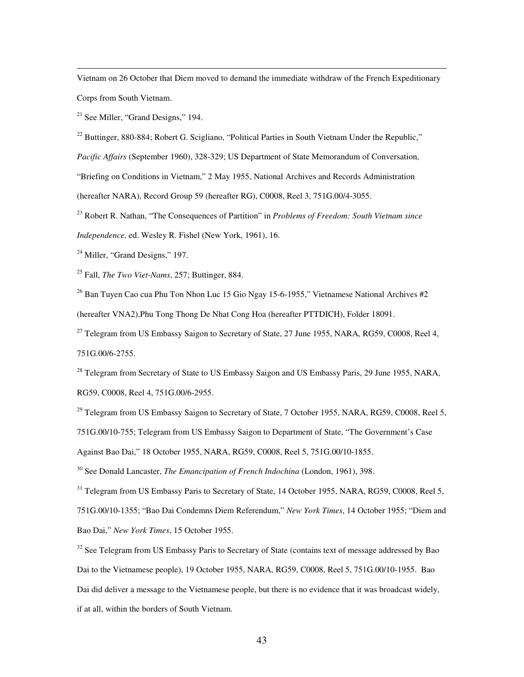Vietnam on 26 October that Diem moved to demand the immediate withdraw of the French Expeditionary Corps from South Vietnam.

 $21$  See Miller, "Grand Designs," 194.

 $^{22}$  Buttinger, 880-884; Robert G. Scigliano, "Political Parties in South Vietnam Under the Republic,"

*Pacific Affairs* (September 1960), 328-329; US Department of State Memorandum of Conversation,

"Briefing on Conditions in Vietnam," 2 May 1955, National Archives and Records Administration

(hereafter NARA), Record Group 59 (hereafter RG), C0008, Reel 3, 751G.00/4-3055.

23 Robert R. Nathan, "The Consequences of Partition" in *Problems of Freedom: South Vietnam since* 

*Independence,* ed. Wesley R. Fishel (New York, 1961), 16.

 $24$  Miller, "Grand Designs," 197.

25 Fall, *The Two Viet-Nams*, 257; Buttinger, 884.

<sup>26</sup> Ban Tuyen Cao cua Phu Ton Nhon Luc 15 Gio Ngay 15-6-1955," Vietnamese National Archives #2 (hereafter VNA2),Phu Tong Thong De Nhat Cong Hoa (hereafter PTTDICH), Folder 18091.

 $^{27}$  Telegram from US Embassy Saigon to Secretary of State, 27 June 1955, NARA, RG59, C0008, Reel 4, 751G.00/6-2755.

 $^{28}$  Telegram from Secretary of State to US Embassy Saigon and US Embassy Paris, 29 June 1955, NARA, RG59, C0008, Reel 4, 751G.00/6-2955.

 $^{29}$  Telegram from US Embassy Saigon to Secretary of State, 7 October 1955, NARA, RG59, C0008, Reel 5, 751G.00/10-755; Telegram from US Embassy Saigon to Department of State, "The Government's Case

Against Bao Dai," 18 October 1955, NARA, RG59, C0008, Reel 5, 751G.00/10-1855.

30 See Donald Lancaster, *The Emancipation of French Indochina* (London, 1961), 398.

<sup>31</sup> Telegram from US Embassy Paris to Secretary of State, 14 October 1955, NARA, RG59, C0008, Reel 5, 751G.00/10-1355; "Bao Dai Condemns Diem Referendum," *New York Times*, 14 October 1955; "Diem and Bao Dai," *New York Times*, 15 October 1955.

 $32$  See Telegram from US Embassy Paris to Secretary of State (contains text of message addressed by Bao Dai to the Vietnamese people), 19 October 1955, NARA, RG59, C0008, Reel 5, 751G.00/10-1955. Bao Dai did deliver a message to the Vietnamese people, but there is no evidence that it was broadcast widely, if at all, within the borders of South Vietnam.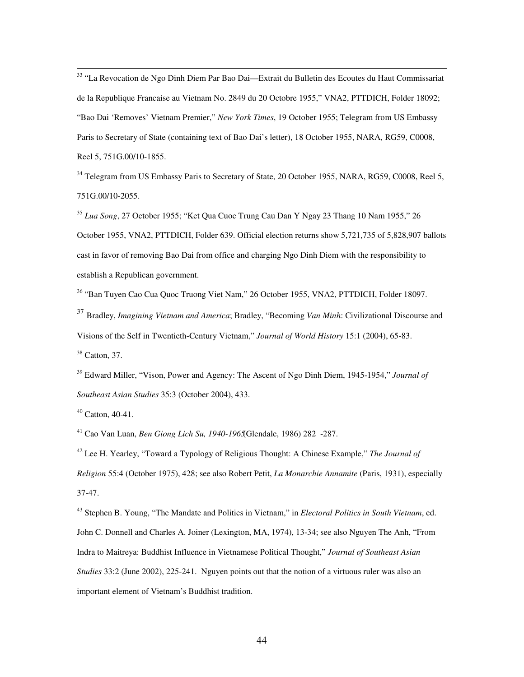33 "La Revocation de Ngo Dinh Diem Par Bao Dai—Extrait du Bulletin des Ecoutes du Haut Commissariat de la Republique Francaise au Vietnam No. 2849 du 20 Octobre 1955," VNA2, PTTDICH, Folder 18092; "Bao Dai 'Removes' Vietnam Premier," *New York Times*, 19 October 1955; Telegram from US Embassy Paris to Secretary of State (containing text of Bao Dai's letter), 18 October 1955, NARA, RG59, C0008, Reel 5, 751G.00/10-1855.

<sup>34</sup> Telegram from US Embassy Paris to Secretary of State, 20 October 1955, NARA, RG59, C0008, Reel 5, 751G.00/10-2055.

<sup>35</sup> *Lua Song*, 27 October 1955; "Ket Qua Cuoc Trung Cau Dan Y Ngay 23 Thang 10 Nam 1955," 26 October 1955, VNA2, PTTDICH, Folder 639. Official election returns show 5,721,735 of 5,828,907 ballots cast in favor of removing Bao Dai from office and charging Ngo Dinh Diem with the responsibility to establish a Republican government.

36 "Ban Tuyen Cao Cua Quoc Truong Viet Nam," 26 October 1955, VNA2, PTTDICH, Folder 18097.

<sup>37</sup> Bradley, *Imagining Vietnam and America*; Bradley, "Becoming *Van Minh*: Civilizational Discourse and Visions of the Self in Twentieth-Century Vietnam," *Journal of World History* 15:1 (2004), 65-83.

 $38$  Catton, 37.

39 Edward Miller, "Vison, Power and Agency: The Ascent of Ngo Dinh Diem, 1945-1954," *Journal of Southeast Asian Studies* 35:3 (October 2004), 433.

 $40$  Catton, 40-41.

41 Cao Van Luan, *Ben Giong Lich Su, 1940-1965* (Glendale, 1986) 282 -287.

42 Lee H. Yearley, "Toward a Typology of Religious Thought: A Chinese Example," *The Journal of Religion* 55:4 (October 1975), 428; see also Robert Petit, *La Monarchie Annamite* (Paris, 1931), especially 37-47.

43 Stephen B. Young, "The Mandate and Politics in Vietnam," in *Electoral Politics in South Vietnam*, ed. John C. Donnell and Charles A. Joiner (Lexington, MA, 1974), 13-34; see also Nguyen The Anh, "From Indra to Maitreya: Buddhist Influence in Vietnamese Political Thought," *Journal of Southeast Asian Studies* 33:2 (June 2002), 225-241. Nguyen points out that the notion of a virtuous ruler was also an important element of Vietnam's Buddhist tradition.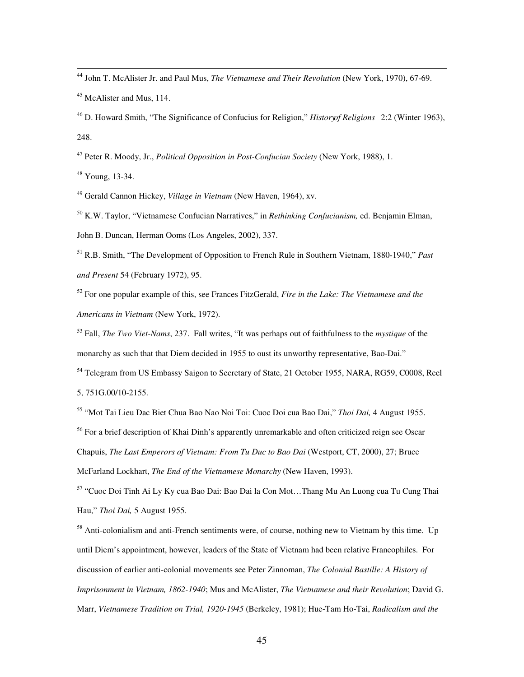44 John T. McAlister Jr. and Paul Mus, *The Vietnamese and Their Revolution* (New York, 1970), 67-69.

 $45$  McAlister and Mus, 114.

<sup>46</sup> D. Howard Smith, "The Significance of Confucius for Religion," *History Religions* 2:2 (Winter 1963), 248.

47 Peter R. Moody, Jr., *Political Opposition in Post-Confucian Society* (New York, 1988), 1.

 $48$  Young, 13-34.

49 Gerald Cannon Hickey, *Village in Vietnam* (New Haven, 1964), xv.

50 K.W. Taylor, "Vietnamese Confucian Narratives," in *Rethinking Confucianism,* ed. Benjamin Elman, John B. Duncan, Herman Ooms (Los Angeles, 2002), 337.

51 R.B. Smith, "The Development of Opposition to French Rule in Southern Vietnam, 1880-1940," *Past and Present* 54 (February 1972), 95.

52 For one popular example of this, see Frances FitzGerald, *Fire in the Lake: The Vietnamese and the Americans in Vietnam* (New York, 1972).

53 Fall, *The Two Viet-Nams*, 237. Fall writes, "It was perhaps out of faithfulness to the *mystique* of the monarchy as such that that Diem decided in 1955 to oust its unworthy representative, Bao-Dai."

<sup>54</sup> Telegram from US Embassy Saigon to Secretary of State, 21 October 1955, NARA, RG59, C0008, Reel

5, 751G.00/10-2155.

55 "Mot Tai Lieu Dac Biet Chua Bao Nao Noi Toi: Cuoc Doi cua Bao Dai," *Thoi Dai,* 4 August 1955.

<sup>56</sup> For a brief description of Khai Dinh's apparently unremarkable and often criticized reign see Oscar Chapuis, *The Last Emperors of Vietnam: From Tu Duc to Bao Dai* (Westport, CT, 2000), 27; Bruce McFarland Lockhart, *The End of the Vietnamese Monarchy* (New Haven, 1993).

57 "Cuoc Doi Tinh Ai Ly Ky cua Bao Dai: Bao Dai la Con Mot…Thang Mu An Luong cua Tu Cung Thai Hau," *Thoi Dai,* 5 August 1955.

 $<sup>58</sup>$  Anti-colonialism and anti-French sentiments were, of course, nothing new to Vietnam by this time. Up</sup> until Diem's appointment, however, leaders of the State of Vietnam had been relative Francophiles. For discussion of earlier anti-colonial movements see Peter Zinnoman, *The Colonial Bastille: A History of Imprisonment in Vietnam, 1862-1940*; Mus and McAlister, *The Vietnamese and their Revolution*; David G. Marr, *Vietnamese Tradition on Trial, 1920-1945* (Berkeley, 1981); Hue-Tam Ho-Tai, *Radicalism and the*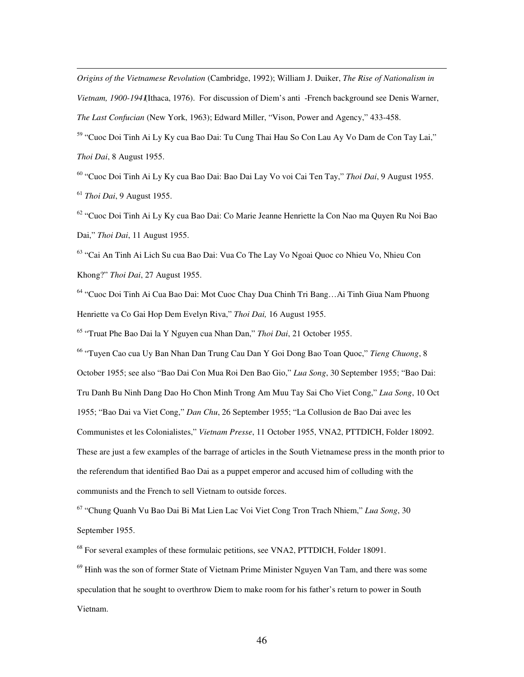*Origins of the Vietnamese Revolution* (Cambridge, 1992); William J. Duiker, *The Rise of Nationalism in Vietnam, 1900-1941* (Ithaca, 1976). For discussion of Diem's anti -French background see Denis Warner, *The Last Confucian* (New York, 1963); Edward Miller, "Vison, Power and Agency," 433-458. 59 "Cuoc Doi Tinh Ai Ly Ky cua Bao Dai: Tu Cung Thai Hau So Con Lau Ay Vo Dam de Con Tay Lai," *Thoi Dai*, 8 August 1955.

60 "Cuoc Doi Tinh Ai Ly Ky cua Bao Dai: Bao Dai Lay Vo voi Cai Ten Tay," *Thoi Dai*, 9 August 1955. <sup>61</sup> *Thoi Dai*, 9 August 1955.

 $62$  "Cuoc Doi Tinh Ai Ly Ky cua Bao Dai: Co Marie Jeanne Henriette la Con Nao ma Quyen Ru Noi Bao Dai," *Thoi Dai*, 11 August 1955.

63 "Cai An Tinh Ai Lich Su cua Bao Dai: Vua Co The Lay Vo Ngoai Quoc co Nhieu Vo, Nhieu Con Khong?" *Thoi Dai*, 27 August 1955.

64 "Cuoc Doi Tinh Ai Cua Bao Dai: Mot Cuoc Chay Dua Chinh Tri Bang…Ai Tinh Giua Nam Phuong Henriette va Co Gai Hop Dem Evelyn Riva," *Thoi Dai,* 16 August 1955.

65 "Truat Phe Bao Dai la Y Nguyen cua Nhan Dan," *Thoi Dai*, 21 October 1955.

66 "Tuyen Cao cua Uy Ban Nhan Dan Trung Cau Dan Y Goi Dong Bao Toan Quoc," *Tieng Chuong*, 8 October 1955; see also "Bao Dai Con Mua Roi Den Bao Gio," *Lua Song*, 30 September 1955; "Bao Dai: Tru Danh Bu Ninh Dang Dao Ho Chon Minh Trong Am Muu Tay Sai Cho Viet Cong," *Lua Song*, 10 Oct 1955; "Bao Dai va Viet Cong," *Dan Chu*, 26 September 1955; "La Collusion de Bao Dai avec les Communistes et les Colonialistes," *Vietnam Presse*, 11 October 1955, VNA2, PTTDICH, Folder 18092. These are just a few examples of the barrage of articles in the South Vietnamese press in the month prior to the referendum that identified Bao Dai as a puppet emperor and accused him of colluding with the communists and the French to sell Vietnam to outside forces.

67 "Chung Quanh Vu Bao Dai Bi Mat Lien Lac Voi Viet Cong Tron Trach Nhiem," *Lua Song*, 30 September 1955.

<sup>68</sup> For several examples of these formulaic petitions, see VNA2, PTTDICH, Folder 18091.

 $69$  Hinh was the son of former State of Vietnam Prime Minister Nguyen Van Tam, and there was some speculation that he sought to overthrow Diem to make room for his father's return to power in South Vietnam.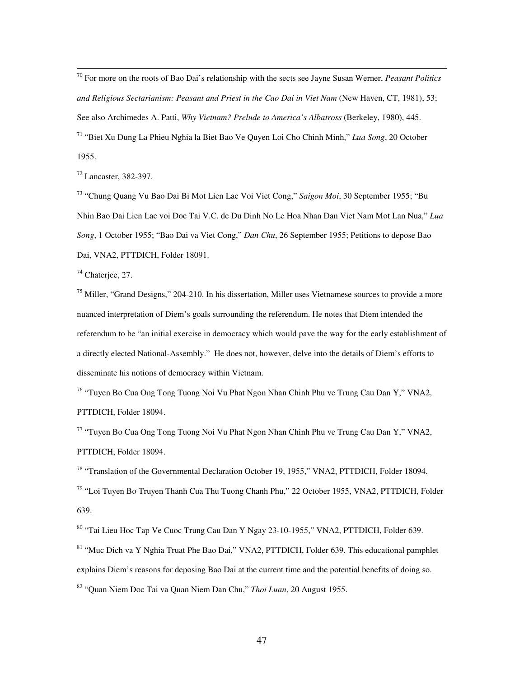70 For more on the roots of Bao Dai's relationship with the sects see Jayne Susan Werner, *Peasant Politics*  and Religious Sectarianism: Peasant and Priest in the Cao Dai in Viet Nam (New Haven, CT, 1981), 53; See also Archimedes A. Patti, *Why Vietnam? Prelude to America's Albatross* (Berkeley, 1980), 445. 71 "Biet Xu Dung La Phieu Nghia la Biet Bao Ve Quyen Loi Cho Chinh Minh," *Lua Song*, 20 October 1955.

72 Lancaster, 382-397.

73 "Chung Quang Vu Bao Dai Bi Mot Lien Lac Voi Viet Cong," *Saigon Moi*, 30 September 1955; "Bu Nhin Bao Dai Lien Lac voi Doc Tai V.C. de Du Dinh No Le Hoa Nhan Dan Viet Nam Mot Lan Nua," *Lua Song*, 1 October 1955; "Bao Dai va Viet Cong," *Dan Chu*, 26 September 1955; Petitions to depose Bao Dai, VNA2, PTTDICH, Folder 18091.

74 Chaterjee, 27.

 $<sup>75</sup>$  Miller, "Grand Designs," 204-210. In his dissertation, Miller uses Vietnamese sources to provide a more</sup> nuanced interpretation of Diem's goals surrounding the referendum. He notes that Diem intended the referendum to be "an initial exercise in democracy which would pave the way for the early establishment of a directly elected National-Assembly." He does not, however, delve into the details of Diem's efforts to disseminate his notions of democracy within Vietnam.

<sup>76</sup> "Tuyen Bo Cua Ong Tong Tuong Noi Vu Phat Ngon Nhan Chinh Phu ve Trung Cau Dan Y," VNA2, PTTDICH, Folder 18094.

 $^{77}$  "Tuyen Bo Cua Ong Tong Tuong Noi Vu Phat Ngon Nhan Chinh Phu ve Trung Cau Dan Y," VNA2, PTTDICH, Folder 18094.

 $78$  "Translation of the Governmental Declaration October 19, 1955," VNA2, PTTDICH, Folder 18094.  $79$  "Loi Tuyen Bo Truyen Thanh Cua Thu Tuong Chanh Phu," 22 October 1955, VNA2, PTTDICH, Folder 639.

80 "Tai Lieu Hoc Tap Ve Cuoc Trung Cau Dan Y Ngay 23-10-1955," VNA2, PTTDICH, Folder 639. <sup>81</sup> "Muc Dich va Y Nghia Truat Phe Bao Dai," VNA2, PTTDICH, Folder 639. This educational pamphlet explains Diem's reasons for deposing Bao Dai at the current time and the potential benefits of doing so. 82 "Quan Niem Doc Tai va Quan Niem Dan Chu," *Thoi Luan*, 20 August 1955.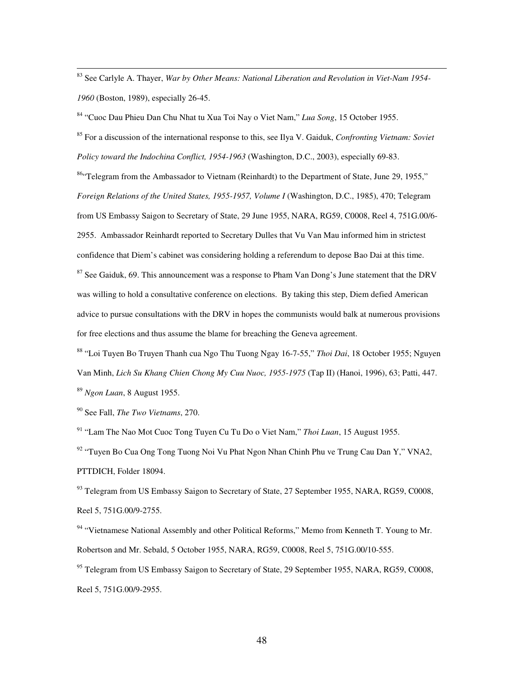83 See Carlyle A. Thayer, *War by Other Means: National Liberation and Revolution in Viet-Nam 1954- 1960* (Boston, 1989), especially 26-45.

84 "Cuoc Dau Phieu Dan Chu Nhat tu Xua Toi Nay o Viet Nam," *Lua Song*, 15 October 1955.

85 For a discussion of the international response to this, see Ilya V. Gaiduk, *Confronting Vietnam: Soviet Policy toward the Indochina Conflict, 1954-1963* (Washington, D.C., 2003), especially 69-83.

 $86$  Telegram from the Ambassador to Vietnam (Reinhardt) to the Department of State, June 29, 1955," *Foreign Relations of the United States, 1955-1957, Volume I* (Washington, D.C., 1985), 470; Telegram from US Embassy Saigon to Secretary of State, 29 June 1955, NARA, RG59, C0008, Reel 4, 751G.00/6- 2955. Ambassador Reinhardt reported to Secretary Dulles that Vu Van Mau informed him in strictest confidence that Diem's cabinet was considering holding a referendum to depose Bao Dai at this time.  $87$  See Gaiduk, 69. This announcement was a response to Pham Van Dong's June statement that the DRV

was willing to hold a consultative conference on elections. By taking this step, Diem defied American advice to pursue consultations with the DRV in hopes the communists would balk at numerous provisions for free elections and thus assume the blame for breaching the Geneva agreement.

88 "Loi Tuyen Bo Truyen Thanh cua Ngo Thu Tuong Ngay 16-7-55," *Thoi Dai*, 18 October 1955; Nguyen Van Minh, *Lich Su Khang Chien Chong My Cuu Nuoc, 1955-1975* (Tap II) (Hanoi, 1996), 63; Patti, 447. <sup>89</sup> *Ngon Luan*, 8 August 1955.

90 See Fall, *The Two Vietnams*, 270.

91 "Lam The Nao Mot Cuoc Tong Tuyen Cu Tu Do o Viet Nam," *Thoi Luan*, 15 August 1955.

 $92$  "Tuyen Bo Cua Ong Tong Tuong Noi Vu Phat Ngon Nhan Chinh Phu ve Trung Cau Dan Y," VNA2, PTTDICH, Folder 18094.

 $93$  Telegram from US Embassy Saigon to Secretary of State, 27 September 1955, NARA, RG59, C0008, Reel 5, 751G.00/9-2755.

<sup>94</sup> "Vietnamese National Assembly and other Political Reforms," Memo from Kenneth T. Young to Mr. Robertson and Mr. Sebald, 5 October 1955, NARA, RG59, C0008, Reel 5, 751G.00/10-555.

<sup>95</sup> Telegram from US Embassy Saigon to Secretary of State, 29 September 1955, NARA, RG59, C0008, Reel 5, 751G.00/9-2955.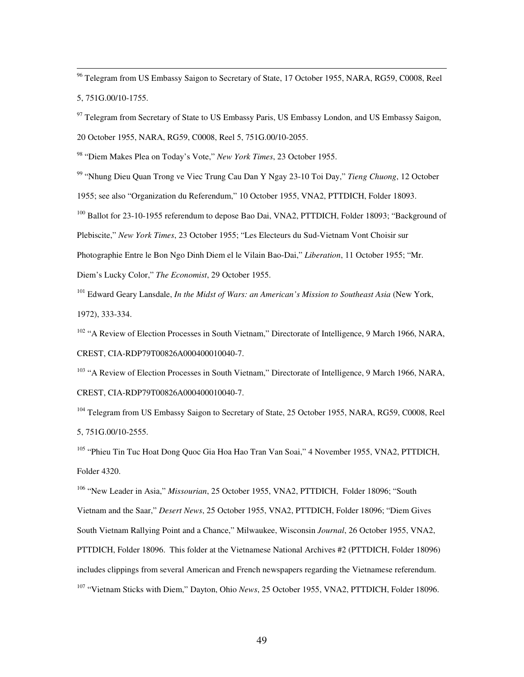<sup>96</sup> Telegram from US Embassy Saigon to Secretary of State, 17 October 1955, NARA, RG59, C0008, Reel 5, 751G.00/10-1755.

 $97$  Telegram from Secretary of State to US Embassy Paris, US Embassy London, and US Embassy Saigon,

20 October 1955, NARA, RG59, C0008, Reel 5, 751G.00/10-2055.

98 "Diem Makes Plea on Today's Vote," *New York Times*, 23 October 1955.

99 "Nhung Dieu Quan Trong ve Viec Trung Cau Dan Y Ngay 23-10 Toi Day," *Tieng Chuong*, 12 October

1955; see also "Organization du Referendum," 10 October 1955, VNA2, PTTDICH, Folder 18093.

<sup>100</sup> Ballot for 23-10-1955 referendum to depose Bao Dai, VNA2, PTTDICH, Folder 18093; "Background of

Plebiscite," *New York Times*, 23 October 1955; "Les Electeurs du Sud-Vietnam Vont Choisir sur

Photographie Entre le Bon Ngo Dinh Diem el le Vilain Bao-Dai," *Liberation*, 11 October 1955; "Mr.

Diem's Lucky Color," *The Economist*, 29 October 1955.

101 Edward Geary Lansdale, *In the Midst of Wars: an American's Mission to Southeast Asia* (New York, 1972), 333-334.

<sup>102</sup> "A Review of Election Processes in South Vietnam," Directorate of Intelligence, 9 March 1966, NARA, CREST, CIA-RDP79T00826A000400010040-7.

<sup>103</sup> "A Review of Election Processes in South Vietnam," Directorate of Intelligence, 9 March 1966, NARA,

CREST, CIA-RDP79T00826A000400010040-7.

<sup>104</sup> Telegram from US Embassy Saigon to Secretary of State, 25 October 1955, NARA, RG59, C0008, Reel 5, 751G.00/10-2555.

<sup>105</sup> "Phieu Tin Tuc Hoat Dong Quoc Gia Hoa Hao Tran Van Soai," 4 November 1955, VNA2, PTTDICH, Folder 4320.

106 "New Leader in Asia," *Missourian*, 25 October 1955, VNA2, PTTDICH, Folder 18096; "South Vietnam and the Saar," *Desert News*, 25 October 1955, VNA2, PTTDICH, Folder 18096; "Diem Gives South Vietnam Rallying Point and a Chance," Milwaukee, Wisconsin *Journal*, 26 October 1955, VNA2, PTTDICH, Folder 18096. This folder at the Vietnamese National Archives #2 (PTTDICH, Folder 18096) includes clippings from several American and French newspapers regarding the Vietnamese referendum. 107 "Vietnam Sticks with Diem," Dayton, Ohio *News*, 25 October 1955, VNA2, PTTDICH, Folder 18096.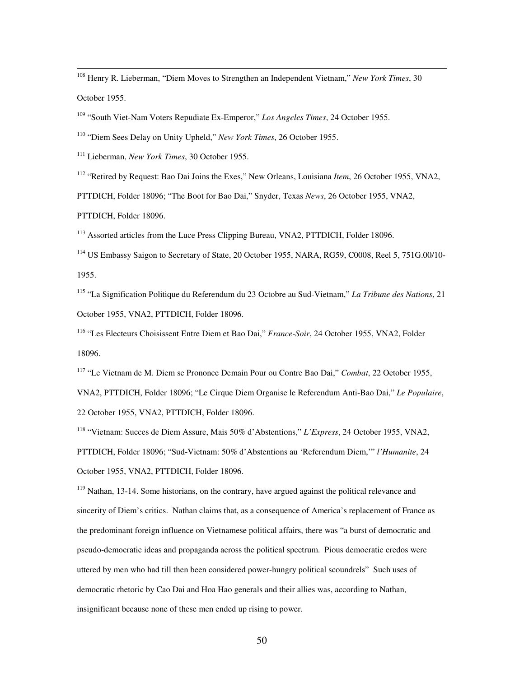108 Henry R. Lieberman, "Diem Moves to Strengthen an Independent Vietnam," *New York Times*, 30 October 1955.

109 "South Viet-Nam Voters Repudiate Ex-Emperor," *Los Angeles Times*, 24 October 1955.

110 "Diem Sees Delay on Unity Upheld," *New York Times*, 26 October 1955.

111 Lieberman, *New York Times*, 30 October 1955.

112 "Retired by Request: Bao Dai Joins the Exes," New Orleans, Louisiana *Item*, 26 October 1955, VNA2,

PTTDICH, Folder 18096; "The Boot for Bao Dai," Snyder, Texas *News*, 26 October 1955, VNA2,

PTTDICH, Folder 18096.

<sup>113</sup> Assorted articles from the Luce Press Clipping Bureau, VNA2, PTTDICH, Folder 18096.

<sup>114</sup> US Embassy Saigon to Secretary of State, 20 October 1955, NARA, RG59, C0008, Reel 5, 751G.00/10-1955.

115 "La Signification Politique du Referendum du 23 Octobre au Sud-Vietnam," *La Tribune des Nations*, 21 October 1955, VNA2, PTTDICH, Folder 18096.

116 "Les Electeurs Choisissent Entre Diem et Bao Dai," *France-Soir*, 24 October 1955, VNA2, Folder 18096.

117 "Le Vietnam de M. Diem se Prononce Demain Pour ou Contre Bao Dai," *Combat*, 22 October 1955,

VNA2, PTTDICH, Folder 18096; "Le Cirque Diem Organise le Referendum Anti-Bao Dai," *Le Populaire*, 22 October 1955, VNA2, PTTDICH, Folder 18096.

118 "Vietnam: Succes de Diem Assure, Mais 50% d'Abstentions," *L'Express*, 24 October 1955, VNA2,

PTTDICH, Folder 18096; "Sud-Vietnam: 50% d'Abstentions au 'Referendum Diem,'" *l'Humanite*, 24 October 1955, VNA2, PTTDICH, Folder 18096.

<sup>119</sup> Nathan, 13-14. Some historians, on the contrary, have argued against the political relevance and sincerity of Diem's critics. Nathan claims that, as a consequence of America's replacement of France as the predominant foreign influence on Vietnamese political affairs, there was "a burst of democratic and pseudo-democratic ideas and propaganda across the political spectrum. Pious democratic credos were uttered by men who had till then been considered power-hungry political scoundrels" Such uses of democratic rhetoric by Cao Dai and Hoa Hao generals and their allies was, according to Nathan, insignificant because none of these men ended up rising to power.